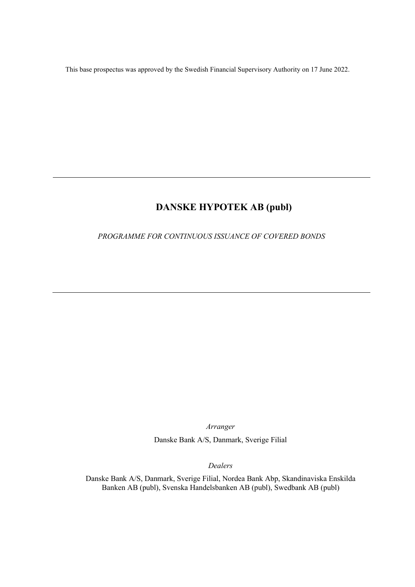This base prospectus was approved by the Swedish Financial Supervisory Authority on 17 June 2022.

# **DANSKE HYPOTEK AB (publ)**

# *PROGRAMME FOR CONTINUOUS ISSUANCE OF COVERED BONDS*

*Arranger* 

Danske Bank A/S, Danmark, Sverige Filial

*Dealers* 

Danske Bank A/S, Danmark, Sverige Filial, Nordea Bank Abp, Skandinaviska Enskilda Banken AB (publ), Svenska Handelsbanken AB (publ), Swedbank AB (publ)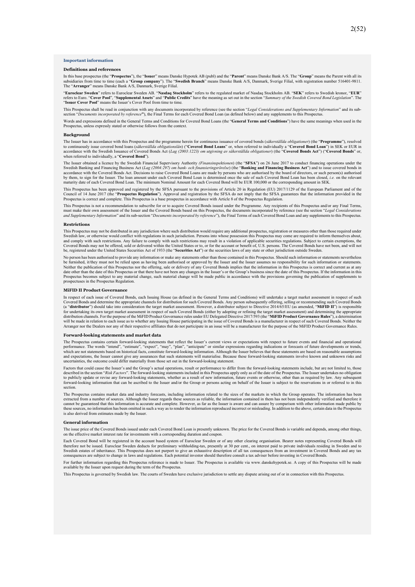#### **Important information**

#### **Definitions and references**

In this base prospectus (the "**Prospectus**"), the "**Issuer**" means Danske Hypotek AB (publ) and the "**Parent**" means Danske Bank A/S. The "**Group**" means the Parent with all its subsidiaries from time to time (each a "**Group company**"). The "**Swedish Branch**" means Danske Bank A/S, Danmark, Sverige Filial, with registration number 516401-9811.<br>The "A**rranger**" means Danske Bank A/S, Danmark, Sveri

"**Euroclear Sweden**" refers to Euroclear Sweden AB. "**Nasdaq Stockholm**" refers to the regulated market of Nasdaq Stockholm AB. "**SEK**" refers to Swedish kronor, "**EUR**" refers to Euro. "Cover Pool", "Supplemental Assets" and "Public Credits" have the meaning as set out in the section "Summary of the Swedish Covered Bond Legislation". The<br>"Issuer Cover Pool" means the Issuer's Cover Pool f

This Prospectus shall be read in conjunction with any documents incorporated by reference (see the section "*Legal Considerations and Supplementary Information*" and its subsection "*Documents incorporated by reference***"**), the Final Terms for each Covered Bond Loan (as defined below) and any supplements to this Prospectus.

Words and expressions defined in the General Terms and Conditions for Covered Bond Loans (the "**General Terms and Conditions**") have the same meanings when used in the Prospectus, unless expressly stated or otherwise follows from the context.

#### **Background**

The Issuer has in accordance with this Prospectus and the programme herein for continuous issuance of covered bonds (*säkerställda obligationer*) (the "**Programme**"), resolved to continuously issue covered bond loans (säkerställda obligationslån) ("Covered Bond Loans" or, when referred to individually a "Covered Bond Loan") in SEK or EUR in<br>accordance with the Swedish Issuance of Covered Bonds A when referred to individually, a "**Covered Bond**").

The Issuer obtained a licence by the Swedish Financial Supervisory Authority *(Finansinspektionen*) (the "**SFSA**") on 26 June 2017 to conduct financing operations under the Swedish Banking and Financing Business Act (*Lag (2004:297) om bank- och finansieringsrörelse*) (the "**Banking and Financing Business Act**") and to issue covered bonds in<br>accordance with the Covered Bonds Act. Decisions to by them, to sign for the Issuer. The loan amount under each Covered Bond Loan is determined once the sale of such Covered Bond Loan has been closed, *i.e.* on the relevant maturity date of each Covered Bond Loan. The minimum Nominal Amount for each Covered Bond will be EUR 100,000 or the corresponding amount in SEK.

This Prospectus has been approved and registered by the SFSA pursuant to the provisions of Article 20 in Regulation (EU) 2017/1129 of the European Parliament and of the Council of 14 June 2017 (the "Prospectus Regulation") Prospectus is correct and complete. This Prospectus is a base prospectus in accordance with Article 8 of the Prospectus Regulation.

This Prospectus is not a recommendation to subscribe for or to acquire Covered Bonds issued under the Programme. Any recipients of this Prospectus and/or any Final Terms, must make their own assessment of the Issuer and the Covered Bonds based on this Prospectus, the documents incorporated by reference (see the section "Legal Considerations<br>and Supplementary Information" and its sub-section

#### **Restrictions**

This Prospectus may not be distributed in any jurisdiction where such distribution would require any additional prospectus, registration or measures other than those required under Swedish law, or otherwise would conflict with regulations in such jurisdiction. Persons into whose possession this Prospectus may come are required to inform themselves about,<br>and comply with such restrictions. Any failure Covered Bonds may not be offered, sold or delivered within the United States or to, or for the account or benefit of, U.S. persons. The Covered Bonds have not been, and will not<br>be, registered under the United States Secur

No person has been authorised to provide any information or make any statements other than those contained in this Prospectus. Should such information or statements nevertheless he furnished it they must not be religion or be furnished, it/they must not be relied upon as having been authorised or approved by the Issuer and the Issuer assumes no responsibility for such information or statements. Neither the publication of this Prospectus nor the offering, sale or delivery of any Covered Bonds implies that the information in this Prospectus is correct and current as at any<br>date other than the date of this Prospectu Prospectus becomes subject to any material change, such material change will be made public in accordance with the provisions governing the publication of supplements to spectuses in the Prospectus Regulation

#### **MiFID II Product Governance**

In respect of each issue of Covered Bonds, each Issuing House (as defined in the General Terms and Conditions) will undertake a target market assessment in respect of such Covered Bonds and determine the appropriate channels for distribution for such Covered Bonds. Any person subsequently offering, selling or recommending such Covered Bonds<br>(a "**distributor**") should take into consideration for undertaking its own target market assessment in respect of such Covered Bonds (either by adopting or refining the target market assessment) and determining the appropriate<br>distribution channels. For the purpose of the Arranger nor the Dealers nor any of their respective affiliates that do not participate in an issue will be a manufacturer for the purpose of the MiFID Product Governance Rules.

#### **Forward-looking statements and market data**

The Prospectus contains certain forward-looking statements that reflect the Issuer's current views or expectations with respect to future events and financial and operational pertational performance. The words "intend", "e and expectations, the Issuer cannot give any assurances that such statements will materialise. Because these forward-looking statements involve known and unknown risks and uncertainties, the outcome could differ materially from those set out in the forward-looking statement.

Factors that could cause the Issuer's and the Group's actual operations, result or performance to differ from the forward-looking statements include, but are not limited to, those described in the section "Risk Factors". The forward-looking statements included in this Prospectus apply only as of the date of the Prospectus. The Issuer undertakes no obligation<br>to publicly update or revise any forwardforward-looking information that can be ascribed to the Issuer and/or the Group or persons acting on behalf of the Issuer is subject to the reservations in or referred to in this section.

The Prospectus contains market data and industry forecasts, including information related to the sizes of the markets in which the Group operates. The information has been extracted from a number of sources. Although the Issuer regards these sources as reliable, the information contained in them has not been independently verified and therefore it<br>cannot be guaranteed that this information i these sources, no information has been omitted in such a way as to render the information reproduced incorrect or misleading. In addition to the above, certain data in the Prospectus is also derived from estimates made by the Issuer.

#### **General information**

The issue price of the Covered Bonds issued under each Covered Bond Loan is presently unknown. The price for the Covered Bonds is variable and depends, among other things, on the effective market interest rate for investments with a corresponding duration and coupon.

Each Covered Bond will be registered in the account based system of Euroclear Sweden or of any other clearing organisation. Bearer notes representing Covered Bonds will therefore not be issued. Euroclear Sweden deducts for preliminary withholding-tax, presently at 30 per cent., on interest paid to private individuals residing in Sweden and to the state individuals residing in Sweden and t Swedish estates of inheritance. This Prospectus does not purport to give an exhaustive description of all tax consequences from an investment in Covered Bonds and any tax consequences are subject to change in laws and regulations. Each potential investor should therefore consult a tax adviser before investing in Covered Bonds.

For further information regarding this Prospectus reference is made to Issuer. The Prospectus is available via www.danskehypotek.se. A copy of this Prospectus will be made available by the Issuer upon request during the term of the Prospectus.

This Prospectus is governed by Swedish law. The courts of Sweden have exclusive jurisdiction to settle any dispute arising out of or in connection with this Prospectus.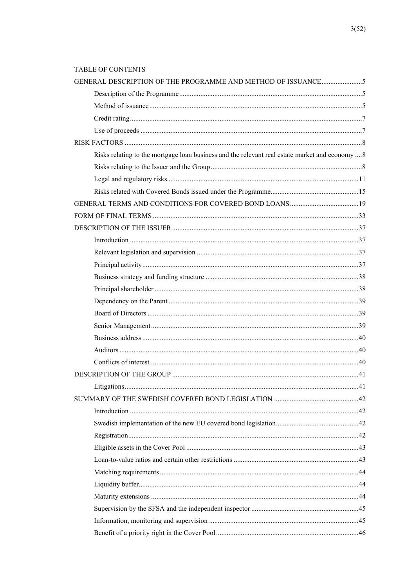## TABLE OF CONTENTS

| GENERAL DESCRIPTION OF THE PROGRAMME AND METHOD OF ISSUANCE5                                    |  |
|-------------------------------------------------------------------------------------------------|--|
|                                                                                                 |  |
|                                                                                                 |  |
|                                                                                                 |  |
|                                                                                                 |  |
|                                                                                                 |  |
| Risks relating to the mortgage loan business and the relevant real estate market and economy  8 |  |
|                                                                                                 |  |
|                                                                                                 |  |
|                                                                                                 |  |
|                                                                                                 |  |
|                                                                                                 |  |
|                                                                                                 |  |
|                                                                                                 |  |
|                                                                                                 |  |
|                                                                                                 |  |
|                                                                                                 |  |
|                                                                                                 |  |
|                                                                                                 |  |
|                                                                                                 |  |
|                                                                                                 |  |
|                                                                                                 |  |
|                                                                                                 |  |
|                                                                                                 |  |
|                                                                                                 |  |
|                                                                                                 |  |
|                                                                                                 |  |
|                                                                                                 |  |
|                                                                                                 |  |
|                                                                                                 |  |
|                                                                                                 |  |
|                                                                                                 |  |
|                                                                                                 |  |
|                                                                                                 |  |
|                                                                                                 |  |
|                                                                                                 |  |
|                                                                                                 |  |
|                                                                                                 |  |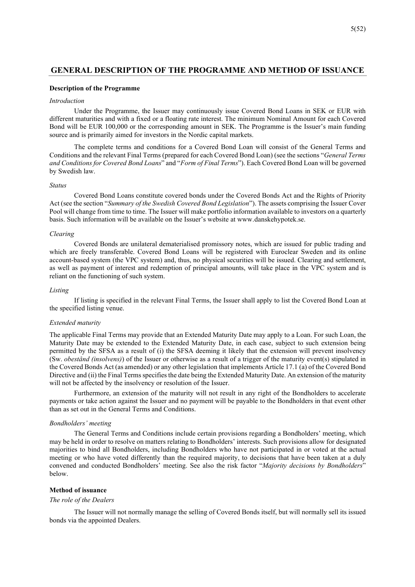## **GENERAL DESCRIPTION OF THE PROGRAMME AND METHOD OF ISSUANCE**

### **Description of the Programme**

### *Introduction*

Under the Programme, the Issuer may continuously issue Covered Bond Loans in SEK or EUR with different maturities and with a fixed or a floating rate interest. The minimum Nominal Amount for each Covered Bond will be EUR 100,000 or the corresponding amount in SEK. The Programme is the Issuer's main funding source and is primarily aimed for investors in the Nordic capital markets.

The complete terms and conditions for a Covered Bond Loan will consist of the General Terms and Conditions and the relevant Final Terms (prepared for each Covered Bond Loan) (see the sections "*General Terms and Conditions for Covered Bond Loans*" and "*Form of Final Terms*"). Each Covered Bond Loan will be governed by Swedish law.

### *Status*

Covered Bond Loans constitute covered bonds under the Covered Bonds Act and the Rights of Priority Act (see the section "*Summary of the Swedish Covered Bond Legislation*"). The assets comprising the Issuer Cover Pool will change from time to time. The Issuer will make portfolio information available to investors on a quarterly basis. Such information will be available on the Issuer's website at www.danskehypotek.se.

### *Clearing*

Covered Bonds are unilateral dematerialised promissory notes, which are issued for public trading and which are freely transferable. Covered Bond Loans will be registered with Euroclear Sweden and its online account-based system (the VPC system) and, thus, no physical securities will be issued. Clearing and settlement, as well as payment of interest and redemption of principal amounts, will take place in the VPC system and is reliant on the functioning of such system.

### *Listing*

If listing is specified in the relevant Final Terms, the Issuer shall apply to list the Covered Bond Loan at the specified listing venue.

### *Extended maturity*

The applicable Final Terms may provide that an Extended Maturity Date may apply to a Loan. For such Loan, the Maturity Date may be extended to the Extended Maturity Date, in each case, subject to such extension being permitted by the SFSA as a result of (i) the SFSA deeming it likely that the extension will prevent insolvency (Sw. *obestånd (insolvens)*) of the Issuer or otherwise as a result of a trigger of the maturity event(s) stipulated in the Covered Bonds Act (as amended) or any other legislation that implements Article 17.1 (a) of the Covered Bond Directive and (ii) the Final Terms specifies the date being the Extended Maturity Date. An extension of the maturity will not be affected by the insolvency or resolution of the Issuer.

Furthermore, an extension of the maturity will not result in any right of the Bondholders to accelerate payments or take action against the Issuer and no payment will be payable to the Bondholders in that event other than as set out in the General Terms and Conditions.

### *Bondholders' meeting*

The General Terms and Conditions include certain provisions regarding a Bondholders' meeting, which may be held in order to resolve on matters relating to Bondholders' interests. Such provisions allow for designated majorities to bind all Bondholders, including Bondholders who have not participated in or voted at the actual meeting or who have voted differently than the required majority, to decisions that have been taken at a duly convened and conducted Bondholders' meeting. See also the risk factor "*Majority decisions by Bondholders*" below.

## **Method of issuance**

### *The role of the Dealers*

The Issuer will not normally manage the selling of Covered Bonds itself, but will normally sell its issued bonds via the appointed Dealers.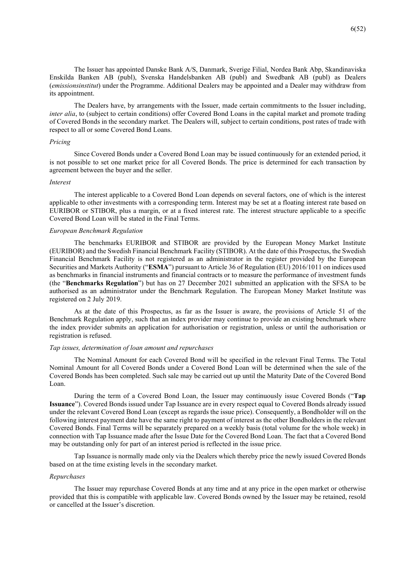The Issuer has appointed Danske Bank A/S, Danmark, Sverige Filial, Nordea Bank Abp, Skandinaviska Enskilda Banken AB (publ), Svenska Handelsbanken AB (publ) and Swedbank AB (publ) as Dealers (*emissionsinstitut*) under the Programme. Additional Dealers may be appointed and a Dealer may withdraw from its appointment.

The Dealers have, by arrangements with the Issuer, made certain commitments to the Issuer including, *inter alia*, to (subject to certain conditions) offer Covered Bond Loans in the capital market and promote trading of Covered Bonds in the secondary market. The Dealers will, subject to certain conditions, post rates of trade with respect to all or some Covered Bond Loans.

### *Pricing*

Since Covered Bonds under a Covered Bond Loan may be issued continuously for an extended period, it is not possible to set one market price for all Covered Bonds. The price is determined for each transaction by agreement between the buyer and the seller.

### *Interest*

The interest applicable to a Covered Bond Loan depends on several factors, one of which is the interest applicable to other investments with a corresponding term. Interest may be set at a floating interest rate based on EURIBOR or STIBOR, plus a margin, or at a fixed interest rate. The interest structure applicable to a specific Covered Bond Loan will be stated in the Final Terms.

### *European Benchmark Regulation*

The benchmarks EURIBOR and STIBOR are provided by the European Money Market Institute (EURIBOR) and the Swedish Financial Benchmark Facility (STIBOR). At the date of this Prospectus, the Swedish Financial Benchmark Facility is not registered as an administrator in the register provided by the European Securities and Markets Authority ("**ESMA**") pursuant to Article 36 of Regulation (EU) 2016/1011 on indices used as benchmarks in financial instruments and financial contracts or to measure the performance of investment funds (the "**Benchmarks Regulation**") but has on 27 December 2021 submitted an application with the SFSA to be authorised as an administrator under the Benchmark Regulation. The European Money Market Institute was registered on 2 July 2019.

As at the date of this Prospectus, as far as the Issuer is aware, the provisions of Article 51 of the Benchmark Regulation apply, such that an index provider may continue to provide an existing benchmark where the index provider submits an application for authorisation or registration, unless or until the authorisation or registration is refused.

## *Tap issues, determination of loan amount and repurchases*

The Nominal Amount for each Covered Bond will be specified in the relevant Final Terms. The Total Nominal Amount for all Covered Bonds under a Covered Bond Loan will be determined when the sale of the Covered Bonds has been completed. Such sale may be carried out up until the Maturity Date of the Covered Bond Loan.

During the term of a Covered Bond Loan, the Issuer may continuously issue Covered Bonds ("**Tap Issuance**"). Covered Bonds issued under Tap Issuance are in every respect equal to Covered Bonds already issued under the relevant Covered Bond Loan (except as regards the issue price). Consequently, a Bondholder will on the following interest payment date have the same right to payment of interest as the other Bondholders in the relevant Covered Bonds. Final Terms will be separately prepared on a weekly basis (total volume for the whole week) in connection with Tap Issuance made after the Issue Date for the Covered Bond Loan. The fact that a Covered Bond may be outstanding only for part of an interest period is reflected in the issue price.

Tap Issuance is normally made only via the Dealers which thereby price the newly issued Covered Bonds based on at the time existing levels in the secondary market.

### *Repurchases*

The Issuer may repurchase Covered Bonds at any time and at any price in the open market or otherwise provided that this is compatible with applicable law. Covered Bonds owned by the Issuer may be retained, resold or cancelled at the Issuer's discretion.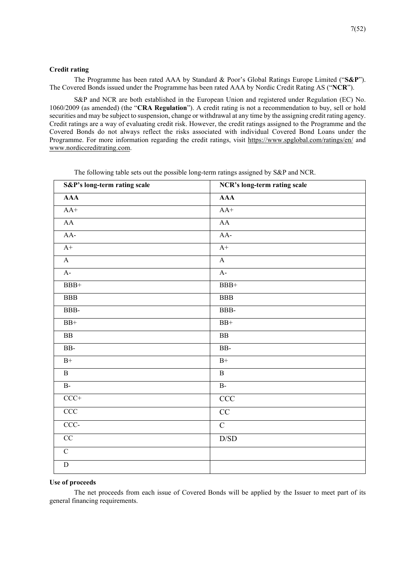## **Credit rating**

The Programme has been rated AAA by Standard & Poor's Global Ratings Europe Limited ("**S&P**"). The Covered Bonds issued under the Programme has been rated AAA by Nordic Credit Rating AS ("**NCR**").

S&P and NCR are both established in the European Union and registered under Regulation (EC) No. 1060/2009 (as amended) (the "**CRA Regulation**"). A credit rating is not a recommendation to buy, sell or hold securities and may be subject to suspension, change or withdrawal at any time by the assigning credit rating agency. Credit ratings are a way of evaluating credit risk. However, the credit ratings assigned to the Programme and the Covered Bonds do not always reflect the risks associated with individual Covered Bond Loans under the Programme. For more information regarding the credit ratings, visit https://www.spglobal.com/ratings/en/ and www.nordiccreditrating.com.

| S&P's long-term rating scale | NCR's long-term rating scale |
|------------------------------|------------------------------|
| $\overline{AAA}$             | <b>AAA</b>                   |
| $AA+$                        | $AA+$                        |
| ${\rm AA}$                   | ${\bf AA}$                   |
| AA-                          | AA-                          |
| $A+$                         | $A+$                         |
| $\mathbf{A}$                 | $\mathbf{A}$                 |
| $A-$                         | $A-$                         |
| $\rm BBB+$                   | $BBB+$                       |
| $_{\rm BBB}$                 | $_{\rm BBB}$                 |
| BBB-                         | BBB-                         |
| $BB+$                        | $BB+$                        |
| $\overline{BB}$              | ${\bf BB}$                   |
| $\rm BB$                     | $\rm BB$ -                   |
| $\mathrm{B}^{+}$             | $\mathrm{B}^{+}$             |
| $\, {\bf B}$                 | $\, {\bf B}$                 |
| $B -$                        | $B -$                        |
| $CCC+$                       | $\rm{CCC}$                   |
| CCC                          | $\overline{CC}$              |
| $CCC -$                      | $\overline{C}$               |
| CC                           | $\mathbf{D} / \mathbf{SD}$   |
| $\overline{C}$               |                              |
| $\overline{D}$               |                              |

The following table sets out the possible long-term ratings assigned by S&P and NCR.

### **Use of proceeds**

The net proceeds from each issue of Covered Bonds will be applied by the Issuer to meet part of its general financing requirements.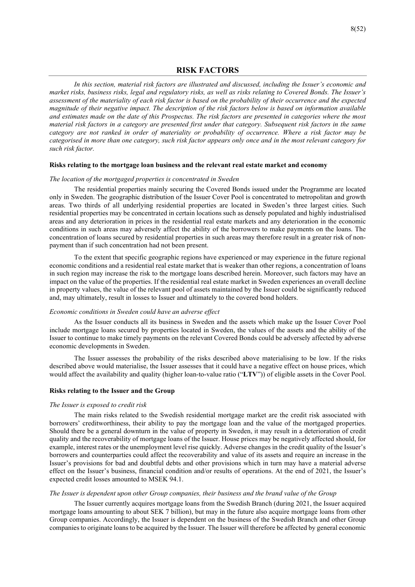## **RISK FACTORS**

*In this section, material risk factors are illustrated and discussed, including the Issuer's economic and market risks, business risks, legal and regulatory risks, as well as risks relating to Covered Bonds. The Issuer's assessment of the materiality of each risk factor is based on the probability of their occurrence and the expected magnitude of their negative impact. The description of the risk factors below is based on information available and estimates made on the date of this Prospectus. The risk factors are presented in categories where the most material risk factors in a category are presented first under that category. Subsequent risk factors in the same category are not ranked in order of materiality or probability of occurrence. Where a risk factor may be categorised in more than one category, such risk factor appears only once and in the most relevant category for such risk factor.* 

## **Risks relating to the mortgage loan business and the relevant real estate market and economy**

### *The location of the mortgaged properties is concentrated in Sweden*

The residential properties mainly securing the Covered Bonds issued under the Programme are located only in Sweden. The geographic distribution of the Issuer Cover Pool is concentrated to metropolitan and growth areas. Two thirds of all underlying residential properties are located in Sweden's three largest cities. Such residential properties may be concentrated in certain locations such as densely populated and highly industrialised areas and any deterioration in prices in the residential real estate markets and any deterioration in the economic conditions in such areas may adversely affect the ability of the borrowers to make payments on the loans. The concentration of loans secured by residential properties in such areas may therefore result in a greater risk of nonpayment than if such concentration had not been present.

To the extent that specific geographic regions have experienced or may experience in the future regional economic conditions and a residential real estate market that is weaker than other regions, a concentration of loans in such region may increase the risk to the mortgage loans described herein. Moreover, such factors may have an impact on the value of the properties. If the residential real estate market in Sweden experiences an overall decline in property values, the value of the relevant pool of assets maintained by the Issuer could be significantly reduced and, may ultimately, result in losses to Issuer and ultimately to the covered bond holders.

### *Economic conditions in Sweden could have an adverse effect*

As the Issuer conducts all its business in Sweden and the assets which make up the Issuer Cover Pool include mortgage loans secured by properties located in Sweden, the values of the assets and the ability of the Issuer to continue to make timely payments on the relevant Covered Bonds could be adversely affected by adverse economic developments in Sweden.

The Issuer assesses the probability of the risks described above materialising to be low. If the risks described above would materialise, the Issuer assesses that it could have a negative effect on house prices, which would affect the availability and quality (higher loan-to-value ratio ("**LTV**")) of eligible assets in the Cover Pool.

### **Risks relating to the Issuer and the Group**

### *The Issuer is exposed to credit risk*

The main risks related to the Swedish residential mortgage market are the credit risk associated with borrowers' creditworthiness, their ability to pay the mortgage loan and the value of the mortgaged properties. Should there be a general downturn in the value of property in Sweden, it may result in a deterioration of credit quality and the recoverability of mortgage loans of the Issuer. House prices may be negatively affected should, for example, interest rates or the unemployment level rise quickly. Adverse changes in the credit quality of the Issuer's borrowers and counterparties could affect the recoverability and value of its assets and require an increase in the Issuer's provisions for bad and doubtful debts and other provisions which in turn may have a material adverse effect on the Issuer's business, financial condition and/or results of operations. At the end of 2021, the Issuer's expected credit losses amounted to MSEK 94.1.

### *The Issuer is dependent upon other Group companies, their business and the brand value of the Group*

The Issuer currently acquires mortgage loans from the Swedish Branch (during 2021, the Issuer acquired mortgage loans amounting to about SEK 7 billion), but may in the future also acquire mortgage loans from other Group companies. Accordingly, the Issuer is dependent on the business of the Swedish Branch and other Group companies to originate loans to be acquired by the Issuer. The Issuer will therefore be affected by general economic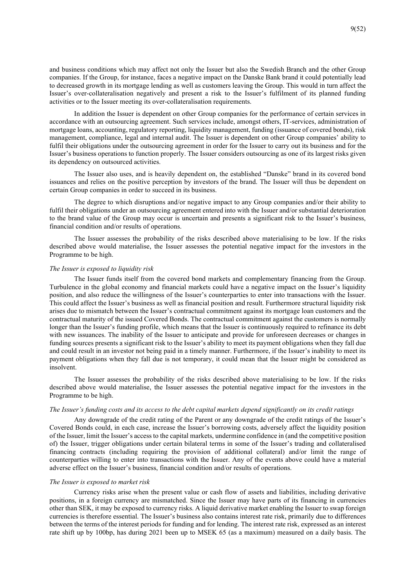and business conditions which may affect not only the Issuer but also the Swedish Branch and the other Group companies. If the Group, for instance, faces a negative impact on the Danske Bank brand it could potentially lead to decreased growth in its mortgage lending as well as customers leaving the Group. This would in turn affect the Issuer's over-collateralisation negatively and present a risk to the Issuer's fulfilment of its planned funding activities or to the Issuer meeting its over-collateralisation requirements.

In addition the Issuer is dependent on other Group companies for the performance of certain services in accordance with an outsourcing agreement. Such services include, amongst others, IT-services, administration of mortgage loans, accounting, regulatory reporting, liquidity management, funding (issuance of covered bonds), risk management, compliance, legal and internal audit. The Issuer is dependent on other Group companies' ability to fulfil their obligations under the outsourcing agreement in order for the Issuer to carry out its business and for the Issuer's business operations to function properly. The Issuer considers outsourcing as one of its largest risks given its dependency on outsourced activities.

The Issuer also uses, and is heavily dependent on, the established "Danske" brand in its covered bond issuances and relies on the positive perception by investors of the brand. The Issuer will thus be dependent on certain Group companies in order to succeed in its business.

The degree to which disruptions and/or negative impact to any Group companies and/or their ability to fulfil their obligations under an outsourcing agreement entered into with the Issuer and/or substantial deterioration to the brand value of the Group may occur is uncertain and presents a significant risk to the Issuer's business, financial condition and/or results of operations.

The Issuer assesses the probability of the risks described above materialising to be low. If the risks described above would materialise, the Issuer assesses the potential negative impact for the investors in the Programme to be high.

### *The Issuer is exposed to liquidity risk*

The Issuer funds itself from the covered bond markets and complementary financing from the Group. Turbulence in the global economy and financial markets could have a negative impact on the Issuer's liquidity position, and also reduce the willingness of the Issuer's counterparties to enter into transactions with the Issuer. This could affect the Issuer's business as well as financial position and result. Furthermore structural liquidity risk arises due to mismatch between the Issuer's contractual commitment against its mortgage loan customers and the contractual maturity of the issued Covered Bonds. The contractual commitment against the customers is normally longer than the Issuer's funding profile, which means that the Issuer is continuously required to refinance its debt with new issuances. The inability of the Issuer to anticipate and provide for unforeseen decreases or changes in funding sources presents a significant risk to the Issuer's ability to meet its payment obligations when they fall due and could result in an investor not being paid in a timely manner. Furthermore, if the Issuer's inability to meet its payment obligations when they fall due is not temporary, it could mean that the Issuer might be considered as insolvent.

The Issuer assesses the probability of the risks described above materialising to be low. If the risks described above would materialise, the Issuer assesses the potential negative impact for the investors in the Programme to be high.

## *The Issuer's funding costs and its access to the debt capital markets depend significantly on its credit ratings*

Any downgrade of the credit rating of the Parent or any downgrade of the credit ratings of the Issuer's Covered Bonds could, in each case, increase the Issuer's borrowing costs, adversely affect the liquidity position of the Issuer, limit the Issuer's access to the capital markets, undermine confidence in (and the competitive position of) the Issuer, trigger obligations under certain bilateral terms in some of the Issuer's trading and collateralised financing contracts (including requiring the provision of additional collateral) and/or limit the range of counterparties willing to enter into transactions with the Issuer. Any of the events above could have a material adverse effect on the Issuer's business, financial condition and/or results of operations.

### *The Issuer is exposed to market risk*

Currency risks arise when the present value or cash flow of assets and liabilities, including derivative positions, in a foreign currency are mismatched. Since the Issuer may have parts of its financing in currencies other than SEK, it may be exposed to currency risks. A liquid derivative market enabling the Issuer to swap foreign currencies is therefore essential. The Issuer's business also contains interest rate risk, primarily due to differences between the terms of the interest periods for funding and for lending. The interest rate risk, expressed as an interest rate shift up by 100bp, has during 2021 been up to MSEK 65 (as a maximum) measured on a daily basis. The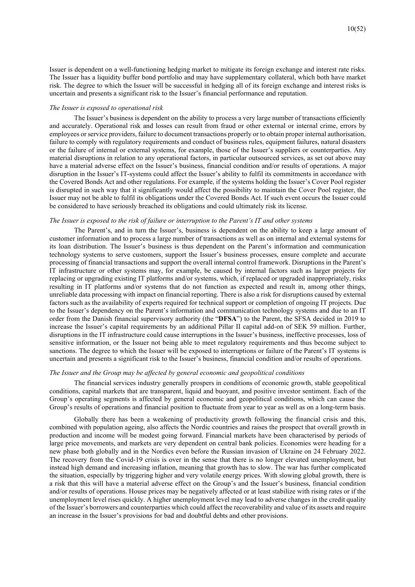Issuer is dependent on a well-functioning hedging market to mitigate its foreign exchange and interest rate risks. The Issuer has a liquidity buffer bond portfolio and may have supplementary collateral, which both have market risk. The degree to which the Issuer will be successful in hedging all of its foreign exchange and interest risks is uncertain and presents a significant risk to the Issuer's financial performance and reputation.

### *The Issuer is exposed to operational risk*

The Issuer's business is dependent on the ability to process a very large number of transactions efficiently and accurately. Operational risk and losses can result from fraud or other external or internal crime, errors by employees or service providers, failure to document transactions properly or to obtain proper internal authorisation, failure to comply with regulatory requirements and conduct of business rules, equipment failures, natural disasters or the failure of internal or external systems, for example, those of the Issuer's suppliers or counterparties. Any material disruptions in relation to any operational factors, in particular outsourced services, as set out above may have a material adverse effect on the Issuer's business, financial condition and/or results of operations. A major disruption in the Issuer's IT-systems could affect the Issuer's ability to fulfil its commitments in accordance with the Covered Bonds Act and other regulations. For example, if the systems holding the Issuer's Cover Pool register is disrupted in such way that it significantly would affect the possibility to maintain the Cover Pool register, the Issuer may not be able to fulfil its obligations under the Covered Bonds Act. If such event occurs the Issuer could be considered to have seriously breached its obligations and could ultimately risk its license.

### *The Issuer is exposed to the risk of failure or interruption to the Parent's IT and other systems*

The Parent's, and in turn the Issuer's, business is dependent on the ability to keep a large amount of customer information and to process a large number of transactions as well as on internal and external systems for its loan distribution. The Issuer's business is thus dependent on the Parent's information and communication technology systems to serve customers, support the Issuer's business processes, ensure complete and accurate processing of financial transactions and support the overall internal control framework. Disruptions in the Parent's IT infrastructure or other systems may, for example, be caused by internal factors such as larger projects for replacing or upgrading existing IT platforms and/or systems, which, if replaced or upgraded inappropriately, risks resulting in IT platforms and/or systems that do not function as expected and result in, among other things, unreliable data processing with impact on financial reporting. There is also a risk for disruptions caused by external factors such as the availability of experts required for technical support or completion of ongoing IT projects. Due to the Issuer's dependency on the Parent's information and communication technology systems and due to an IT order from the Danish financial supervisory authority (the "**DFSA**") to the Parent, the SFSA decided in 2019 to increase the Issuer's capital requirements by an additional Pillar II capital add-on of SEK 59 million. Further, disruptions in the IT infrastructure could cause interruptions in the Issuer's business, ineffective processes, loss of sensitive information, or the Issuer not being able to meet regulatory requirements and thus become subject to sanctions. The degree to which the Issuer will be exposed to interruptions or failure of the Parent's IT systems is uncertain and presents a significant risk to the Issuer's business, financial condition and/or results of operations.

### *The Issuer and the Group may be affected by general economic and geopolitical conditions*

The financial services industry generally prospers in conditions of economic growth, stable geopolitical conditions, capital markets that are transparent, liquid and buoyant, and positive investor sentiment. Each of the Group's operating segments is affected by general economic and geopolitical conditions, which can cause the Group's results of operations and financial position to fluctuate from year to year as well as on a long-term basis.

Globally there has been a weakening of productivity growth following the financial crisis and this, combined with population ageing, also affects the Nordic countries and raises the prospect that overall growth in production and income will be modest going forward. Financial markets have been characterised by periods of large price movements, and markets are very dependent on central bank policies. Economies were heading for a new phase both globally and in the Nordics even before the Russian invasion of Ukraine on 24 February 2022. The recovery from the Covid-19 crisis is over in the sense that there is no longer elevated unemployment, but instead high demand and increasing inflation, meaning that growth has to slow. The war has further complicated the situation, especially by triggering higher and very volatile energy prices. With slowing global growth, there is a risk that this will have a material adverse effect on the Group's and the Issuer's business, financial condition and/or results of operations. House prices may be negatively affected or at least stabilize with rising rates or if the unemployment level rises quickly. A higher unemployment level may lead to adverse changes in the credit quality of the Issuer's borrowers and counterparties which could affect the recoverability and value of its assets and require an increase in the Issuer's provisions for bad and doubtful debts and other provisions.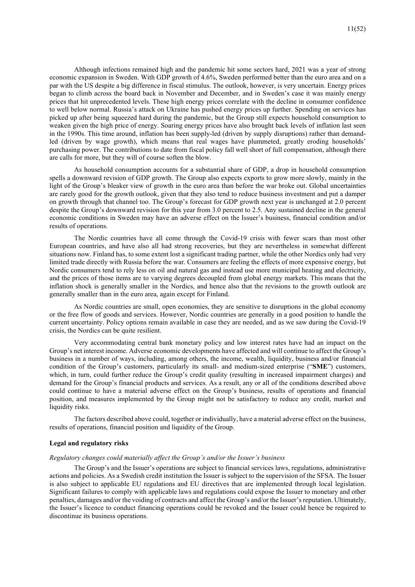Although infections remained high and the pandemic hit some sectors hard, 2021 was a year of strong economic expansion in Sweden. With GDP growth of 4.6%, Sweden performed better than the euro area and on a par with the US despite a big difference in fiscal stimulus. The outlook, however, is very uncertain. Energy prices began to climb across the board back in November and December, and in Sweden's case it was mainly energy prices that hit unprecedented levels. These high energy prices correlate with the decline in consumer confidence to well below normal. Russia's attack on Ukraine has pushed energy prices up further. Spending on services has picked up after being squeezed hard during the pandemic, but the Group still expects household consumption to weaken given the high price of energy. Soaring energy prices have also brought back levels of inflation last seen in the 1990s. This time around, inflation has been supply-led (driven by supply disruptions) rather than demandled (driven by wage growth), which means that real wages have plummeted, greatly eroding households' purchasing power. The contributions to date from fiscal policy fall well short of full compensation, although there are calls for more, but they will of course soften the blow.

As household consumption accounts for a substantial share of GDP, a drop in household consumption spells a downward revision of GDP growth. The Group also expects exports to grow more slowly, mainly in the light of the Group's bleaker view of growth in the euro area than before the war broke out. Global uncertainties are rarely good for the growth outlook, given that they also tend to reduce business investment and put a damper on growth through that channel too. The Group's forecast for GDP growth next year is unchanged at 2.0 percent despite the Group's downward revision for this year from 3.0 percent to 2.5. Any sustained decline in the general economic conditions in Sweden may have an adverse effect on the Issuer's business, financial condition and/or results of operations.

The Nordic countries have all come through the Covid-19 crisis with fewer scars than most other European countries, and have also all had strong recoveries, but they are nevertheless in somewhat different situations now. Finland has, to some extent lost a significant trading partner, while the other Nordics only had very limited trade directly with Russia before the war. Consumers are feeling the effects of more expensive energy, but Nordic consumers tend to rely less on oil and natural gas and instead use more municipal heating and electricity, and the prices of those items are to varying degrees decoupled from global energy markets. This means that the inflation shock is generally smaller in the Nordics, and hence also that the revisions to the growth outlook are generally smaller than in the euro area, again except for Finland.

As Nordic countries are small, open economies, they are sensitive to disruptions in the global economy or the free flow of goods and services. However, Nordic countries are generally in a good position to handle the current uncertainty. Policy options remain available in case they are needed, and as we saw during the Covid-19 crisis, the Nordics can be quite resilient.

Very accommodating central bank monetary policy and low interest rates have had an impact on the Group's net interest income. Adverse economic developments have affected and will continue to affect the Group's business in a number of ways, including, among others, the income, wealth, liquidity, business and/or financial condition of the Group's customers, particularly its small- and medium-sized enterprise ("**SME**") customers, which, in turn, could further reduce the Group's credit quality (resulting in increased impairment charges) and demand for the Group's financial products and services. As a result, any or all of the conditions described above could continue to have a material adverse effect on the Group's business, results of operations and financial position, and measures implemented by the Group might not be satisfactory to reduce any credit, market and liquidity risks.

The factors described above could, together or individually, have a material adverse effect on the business, results of operations, financial position and liquidity of the Group.

### **Legal and regulatory risks**

### *Regulatory changes could materially affect the Group's and/or the Issuer's business*

The Group's and the Issuer's operations are subject to financial services laws, regulations, administrative actions and policies. As a Swedish credit institution the Issuer is subject to the supervision of the SFSA. The Issuer is also subject to applicable EU regulations and EU directives that are implemented through local legislation. Significant failures to comply with applicable laws and regulations could expose the Issuer to monetary and other penalties, damages and/or the voiding of contracts and affect the Group's and/or the Issuer's reputation. Ultimately, the Issuer's licence to conduct financing operations could be revoked and the Issuer could hence be required to discontinue its business operations.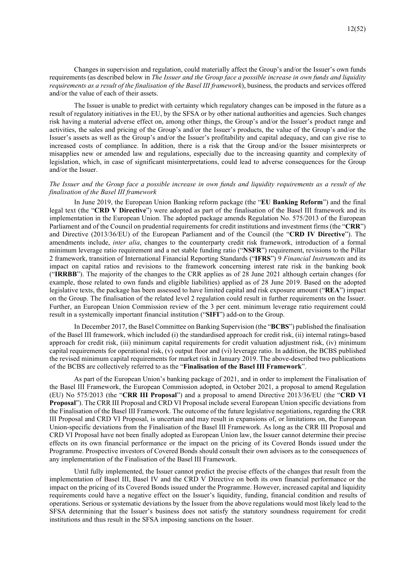Changes in supervision and regulation, could materially affect the Group's and/or the Issuer's own funds requirements (as described below in *The Issuer and the Group face a possible increase in own funds and liquidity requirements as a result of the finalisation of the Basel III framework*), business, the products and services offered and/or the value of each of their assets.

The Issuer is unable to predict with certainty which regulatory changes can be imposed in the future as a result of regulatory initiatives in the EU, by the SFSA or by other national authorities and agencies. Such changes risk having a material adverse effect on, among other things, the Group's and/or the Issuer's product range and activities, the sales and pricing of the Group's and/or the Issuer's products, the value of the Group's and/or the Issuer's assets as well as the Group's and/or the Issuer's profitability and capital adequacy, and can give rise to increased costs of compliance. In addition, there is a risk that the Group and/or the Issuer misinterprets or misapplies new or amended law and regulations, especially due to the increasing quantity and complexity of legislation, which, in case of significant misinterpretations, could lead to adverse consequences for the Group and/or the Issuer.

## *The Issuer and the Group face a possible increase in own funds and liquidity requirements as a result of the finalisation of the Basel III framework*

In June 2019, the European Union Banking reform package (the "**EU Banking Reform**") and the final legal text (the "**CRD V Directive**") were adopted as part of the finalisation of the Basel III framework and its implementation in the European Union. The adopted package amends Regulation No. 575/2013 of the European Parliament and of the Council on prudential requirements for credit institutions and investment firms (the "**CRR**") and Directive (2013/36/EU) of the European Parliament and of the Council (the "**CRD IV Directive**"). The amendments include, *inter alia*, changes to the counterparty credit risk framework, introduction of a formal minimum leverage ratio requirement and a net stable funding ratio ("**NSFR**") requirement, revisions to the Pillar 2 framework, transition of International Financial Reporting Standards ("**IFRS**") 9 *Financial Instruments* and its impact on capital ratios and revisions to the framework concerning interest rate risk in the banking book ("**IRRBB**"). The majority of the changes to the CRR applies as of 28 June 2021 although certain changes (for example, those related to own funds and eligible liabilities) applied as of 28 June 2019. Based on the adopted legislative texts, the package has been assessed to have limited capital and risk exposure amount ("**REA**") impact on the Group. The finalisation of the related level 2 regulation could result in further requirements on the Issuer. Further, an European Union Commission review of the 3 per cent. minimum leverage ratio requirement could result in a systemically important financial institution ("**SIFI**") add-on to the Group.

In December 2017, the Basel Committee on Banking Supervision (the "**BCBS**") published the finalisation of the Basel III framework, which included (i) the standardised approach for credit risk, (ii) internal ratings-based approach for credit risk, (iii) minimum capital requirements for credit valuation adjustment risk, (iv) minimum capital requirements for operational risk, (v) output floor and (vi) leverage ratio. In addition, the BCBS published the revised minimum capital requirements for market risk in January 2019. The above-described two publications of the BCBS are collectively referred to as the "**Finalisation of the Basel III Framework**".

As part of the European Union's banking package of 2021, and in order to implement the Finalisation of the Basel III Framework, the European Commission adopted, in October 2021, a proposal to amend Regulation (EU) No 575/2013 (the "**CRR III Proposal**") and a proposal to amend Directive 2013/36/EU (the "**CRD VI Proposal**"). The CRR III Proposal and CRD VI Proposal include several European Union specific deviations from the Finalisation of the Basel III Framework. The outcome of the future legislative negotiations, regarding the CRR III Proposal and CRD VI Proposal, is uncertain and may result in expansions of, or limitations on, the European Union-specific deviations from the Finalisation of the Basel III Framework. As long as the CRR III Proposal and CRD VI Proposal have not been finally adopted as European Union law, the Issuer cannot determine their precise effects on its own financial performance or the impact on the pricing of its Covered Bonds issued under the Programme. Prospective investors of Covered Bonds should consult their own advisors as to the consequences of any implementation of the Finalisation of the Basel III Framework.

Until fully implemented, the Issuer cannot predict the precise effects of the changes that result from the implementation of Basel III, Basel IV and the CRD V Directive on both its own financial performance or the impact on the pricing of its Covered Bonds issued under the Programme. However, increased capital and liquidity requirements could have a negative effect on the Issuer's liquidity, funding, financial condition and results of operations. Serious or systematic deviations by the Issuer from the above regulations would most likely lead to the SFSA determining that the Issuer's business does not satisfy the statutory soundness requirement for credit institutions and thus result in the SFSA imposing sanctions on the Issuer.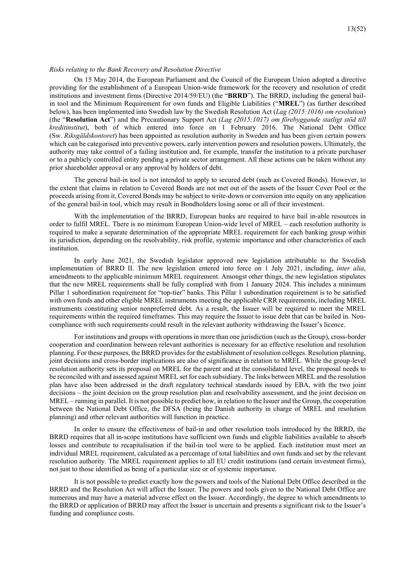### *Risks relating to the Bank Recovery and Resolution Directive*

On 15 May 2014, the European Parliament and the Council of the European Union adopted a directive providing for the establishment of a European Union-wide framework for the recovery and resolution of credit institutions and investment firms (Directive 2014/59/EU) (the "**BRRD**"). The BRRD, including the general bailin tool and the Minimum Requirement for own funds and Eligible Liabilities ("**MREL**") (as further described below), has been implemented into Swedish law by the Swedish Resolution Act (*Lag (2015:1016) om resolution*) (the "**Resolution Act**") and the Precautionary Support Act (*Lag (2015:1017) om förebyggande statligt stöd till kreditinstitut*), both of which entered into force on 1 February 2016. The National Debt Office (Sw. *Riksgäldskontoret*) has been appointed as resolution authority in Sweden and has been given certain powers which can be categorised into preventive powers, early intervention powers and resolution powers. Ultimately, the authority may take control of a failing institution and, for example, transfer the institution to a private purchaser or to a publicly controlled entity pending a private sector arrangement. All these actions can be taken without any prior shareholder approval or any approval by holders of debt.

The general bail-in tool is not intended to apply to secured debt (such as Covered Bonds). However, to the extent that claims in relation to Covered Bonds are not met out of the assets of the Issuer Cover Pool or the proceeds arising from it, Covered Bonds may be subject to write-down or conversion into equity on any application of the general bail-in tool, which may result in Bondholders losing some or all of their investment.

With the implementation of the BRRD, European banks are required to have bail in-able resources in order to fulfil MREL. There is no minimum European Union-wide level of MREL – each resolution authority is required to make a separate determination of the appropriate MREL requirement for each banking group within its jurisdiction, depending on the resolvability, risk profile, systemic importance and other characteristics of each institution.

In early June 2021, the Swedish legislator approved new legislation attributable to the Swedish implementation of BRRD II. The new legislation entered into force on 1 July 2021, including, *inter alia*, amendments to the applicable minimum MREL requirement. Amongst other things, the new legislation stipulates that the new MREL requirements shall be fully complied with from 1 January 2024. This includes a minimum Pillar 1 subordination requirement for "top-tier" banks. This Pillar 1 subordination requirement is to be satisfied with own funds and other eligible MREL instruments meeting the applicable CRR requirements, including MREL instruments constituting senior nonpreferred debt. As a result, the Issuer will be required to meet the MREL requirements within the required timeframes. This may require the Issuer to issue debt that can be bailed in. Noncompliance with such requirements could result in the relevant authority withdrawing the Issuer's licence.

For institutions and groups with operations in more than one jurisdiction (such as the Group), cross-border cooperation and coordination between relevant authorities is necessary for an effective resolution and resolution planning. For these purposes, the BRRD provides for the establishment of resolution colleges. Resolution planning, joint decisions and cross-border implications are also of significance in relation to MREL. While the group-level resolution authority sets its proposal on MREL for the parent and at the consolidated level, the proposal needs to be reconciled with and assessed against MREL set for each subsidiary. The links between MREL and the resolution plan have also been addressed in the draft regulatory technical standards issued by EBA, with the two joint decisions – the joint decision on the group resolution plan and resolvability assessment, and the joint decision on MREL – running in parallel. It is not possible to predict how, in relation to the Issuer and the Group, the cooperation between the National Debt Office, the DFSA (being the Danish authority in charge of MREL and resolution planning) and other relevant authorities will function in practice.

In order to ensure the effectiveness of bail-in and other resolution tools introduced by the BRRD, the BRRD requires that all in-scope institutions have sufficient own funds and eligible liabilities available to absorb losses and contribute to recapitalisation if the bail-in tool were to be applied. Each institution must meet an individual MREL requirement, calculated as a percentage of total liabilities and own funds and set by the relevant resolution authority. The MREL requirement applies to all EU credit institutions (and certain investment firms), not just to those identified as being of a particular size or of systemic importance.

It is not possible to predict exactly how the powers and tools of the National Debt Office described in the BRRD and the Resolution Act will affect the Issuer. The powers and tools given to the National Debt Office are numerous and may have a material adverse effect on the Issuer. Accordingly, the degree to which amendments to the BRRD or application of BRRD may affect the Issuer is uncertain and presents a significant risk to the Issuer's funding and compliance costs.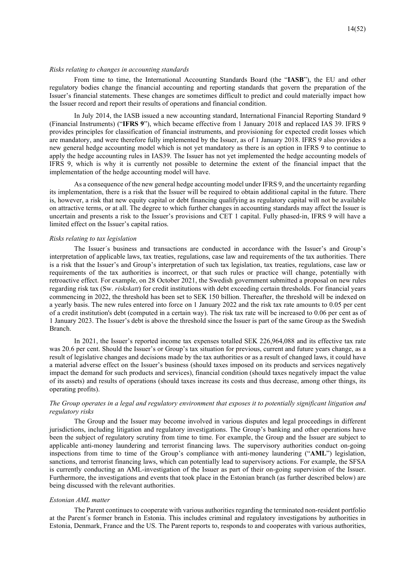### *Risks relating to changes in accounting standards*

From time to time, the International Accounting Standards Board (the "**IASB**"), the EU and other regulatory bodies change the financial accounting and reporting standards that govern the preparation of the Issuer's financial statements. These changes are sometimes difficult to predict and could materially impact how the Issuer record and report their results of operations and financial condition.

In July 2014, the IASB issued a new accounting standard, International Financial Reporting Standard 9 (Financial Instruments) ("**IFRS 9**"), which became effective from 1 January 2018 and replaced IAS 39. IFRS 9 provides principles for classification of financial instruments, and provisioning for expected credit losses which are mandatory, and were therefore fully implemented by the Issuer, as of 1 January 2018. IFRS 9 also provides a new general hedge accounting model which is not yet mandatory as there is an option in IFRS 9 to continue to apply the hedge accounting rules in IAS39. The Issuer has not yet implemented the hedge accounting models of IFRS 9, which is why it is currently not possible to determine the extent of the financial impact that the implementation of the hedge accounting model will have.

As a consequence of the new general hedge accounting model under IFRS 9, and the uncertainty regarding its implementation, there is a risk that the Issuer will be required to obtain additional capital in the future. There is, however, a risk that new equity capital or debt financing qualifying as regulatory capital will not be available on attractive terms, or at all. The degree to which further changes in accounting standards may affect the Issuer is uncertain and presents a risk to the Issuer's provisions and CET 1 capital. Fully phased-in, IFRS 9 will have a limited effect on the Issuer's capital ratios.

### *Risks relating to tax legislation*

The Issuer´s business and transactions are conducted in accordance with the Issuer's and Group's interpretation of applicable laws, tax treaties, regulations, case law and requirements of the tax authorities. There is a risk that the Issuer's and Group's interpretation of such tax legislation, tax treaties, regulations, case law or requirements of the tax authorities is incorrect, or that such rules or practice will change, potentially with retroactive effect. For example, on 28 October 2021, the Swedish government submitted a proposal on new rules regarding risk tax (Sw. *riskskatt*) for credit institutions with debt exceeding certain thresholds. For financial years commencing in 2022, the threshold has been set to SEK 150 billion. Thereafter, the threshold will be indexed on a yearly basis. The new rules entered into force on 1 January 2022 and the risk tax rate amounts to 0.05 per cent of a credit institution's debt (computed in a certain way). The risk tax rate will be increased to 0.06 per cent as of 1 January 2023. The Issuer's debt is above the threshold since the Issuer is part of the same Group as the Swedish Branch.

In 2021, the Issuer's reported income tax expenses totalled SEK 226,964,088 and its effective tax rate was 20.6 per cent. Should the Issuer's or Group's tax situation for previous, current and future years change, as a result of legislative changes and decisions made by the tax authorities or as a result of changed laws, it could have a material adverse effect on the Issuer's business (should taxes imposed on its products and services negatively impact the demand for such products and services), financial condition (should taxes negatively impact the value of its assets) and results of operations (should taxes increase its costs and thus decrease, among other things, its operating profits).

## *The Group operates in a legal and regulatory environment that exposes it to potentially significant litigation and regulatory risks*

The Group and the Issuer may become involved in various disputes and legal proceedings in different jurisdictions, including litigation and regulatory investigations. The Group's banking and other operations have been the subject of regulatory scrutiny from time to time. For example, the Group and the Issuer are subject to applicable anti-money laundering and terrorist financing laws. The supervisory authorities conduct on-going inspections from time to time of the Group's compliance with anti-money laundering ("**AML**") legislation, sanctions, and terrorist financing laws, which can potentially lead to supervisory actions. For example, the SFSA is currently conducting an AML-investigation of the Issuer as part of their on-going supervision of the Issuer. Furthermore, the investigations and events that took place in the Estonian branch (as further described below) are being discussed with the relevant authorities.

### *Estonian AML matter*

The Parent continues to cooperate with various authorities regarding the terminated non-resident portfolio at the Parent´s former branch in Estonia. This includes criminal and regulatory investigations by authorities in Estonia, Denmark, France and the US. The Parent reports to, responds to and cooperates with various authorities,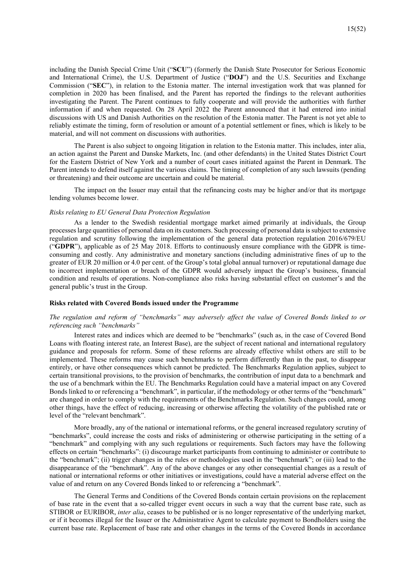including the Danish Special Crime Unit ("**SCU**") (formerly the Danish State Prosecutor for Serious Economic and International Crime), the U.S. Department of Justice ("**DOJ**") and the U.S. Securities and Exchange Commission ("**SEC**"), in relation to the Estonia matter. The internal investigation work that was planned for completion in 2020 has been finalised, and the Parent has reported the findings to the relevant authorities investigating the Parent. The Parent continues to fully cooperate and will provide the authorities with further information if and when requested. On 28 April 2022 the Parent announced that it had entered into initial discussions with US and Danish Authorities on the resolution of the Estonia matter. The Parent is not yet able to reliably estimate the timing, form of resolution or amount of a potential settlement or fines, which is likely to be material, and will not comment on discussions with authorities.

The Parent is also subject to ongoing litigation in relation to the Estonia matter. This includes, inter alia, an action against the Parent and Danske Markets, Inc. (and other defendants) in the United States District Court for the Eastern District of New York and a number of court cases initiated against the Parent in Denmark. The Parent intends to defend itself against the various claims. The timing of completion of any such lawsuits (pending or threatening) and their outcome are uncertain and could be material.

The impact on the Issuer may entail that the refinancing costs may be higher and/or that its mortgage lending volumes become lower.

### *Risks relating to EU General Data Protection Regulation*

As a lender to the Swedish residential mortgage market aimed primarily at individuals, the Group processes large quantities of personal data on its customers. Such processing of personal data is subject to extensive regulation and scrutiny following the implementation of the general data protection regulation 2016/679/EU ("**GDPR**"), applicable as of 25 May 2018. Efforts to continuously ensure compliance with the GDPR is timeconsuming and costly. Any administrative and monetary sanctions (including administrative fines of up to the greater of EUR 20 million or 4.0 per cent. of the Group's total global annual turnover) or reputational damage due to incorrect implementation or breach of the GDPR would adversely impact the Group's business, financial condition and results of operations. Non-compliance also risks having substantial effect on customer's and the general public's trust in the Group.

### **Risks related with Covered Bonds issued under the Programme**

## *The regulation and reform of "benchmarks" may adversely affect the value of Covered Bonds linked to or referencing such "benchmarks"*

Interest rates and indices which are deemed to be "benchmarks" (such as, in the case of Covered Bond Loans with floating interest rate, an Interest Base), are the subject of recent national and international regulatory guidance and proposals for reform. Some of these reforms are already effective whilst others are still to be implemented. These reforms may cause such benchmarks to perform differently than in the past, to disappear entirely, or have other consequences which cannot be predicted. The Benchmarks Regulation applies, subject to certain transitional provisions, to the provision of benchmarks, the contribution of input data to a benchmark and the use of a benchmark within the EU. The Benchmarks Regulation could have a material impact on any Covered Bonds linked to or referencing a "benchmark", in particular, if the methodology or other terms of the "benchmark" are changed in order to comply with the requirements of the Benchmarks Regulation. Such changes could, among other things, have the effect of reducing, increasing or otherwise affecting the volatility of the published rate or level of the "relevant benchmark".

More broadly, any of the national or international reforms, or the general increased regulatory scrutiny of "benchmarks", could increase the costs and risks of administering or otherwise participating in the setting of a "benchmark" and complying with any such regulations or requirements. Such factors may have the following effects on certain "benchmarks": (i) discourage market participants from continuing to administer or contribute to the "benchmark"; (ii) trigger changes in the rules or methodologies used in the "benchmark"; or (iii) lead to the disappearance of the "benchmark". Any of the above changes or any other consequential changes as a result of national or international reforms or other initiatives or investigations, could have a material adverse effect on the value of and return on any Covered Bonds linked to or referencing a "benchmark".

The General Terms and Conditions of the Covered Bonds contain certain provisions on the replacement of base rate in the event that a so-called trigger event occurs in such a way that the current base rate, such as STIBOR or EURIBOR, *inter alia*, ceases to be published or is no longer representative of the underlying market, or if it becomes illegal for the Issuer or the Administrative Agent to calculate payment to Bondholders using the current base rate. Replacement of base rate and other changes in the terms of the Covered Bonds in accordance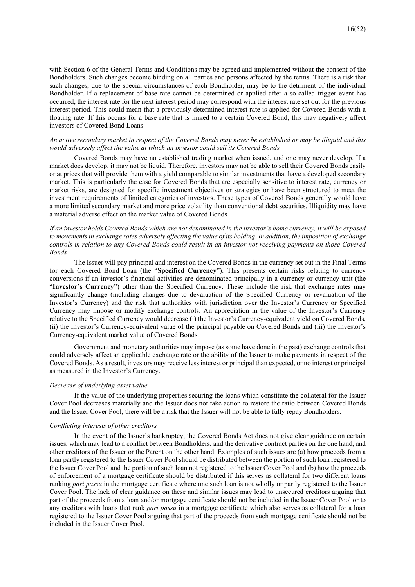with Section 6 of the General Terms and Conditions may be agreed and implemented without the consent of the Bondholders. Such changes become binding on all parties and persons affected by the terms. There is a risk that such changes, due to the special circumstances of each Bondholder, may be to the detriment of the individual Bondholder. If a replacement of base rate cannot be determined or applied after a so-called trigger event has occurred, the interest rate for the next interest period may correspond with the interest rate set out for the previous interest period. This could mean that a previously determined interest rate is applied for Covered Bonds with a floating rate. If this occurs for a base rate that is linked to a certain Covered Bond, this may negatively affect investors of Covered Bond Loans.

### *An active secondary market in respect of the Covered Bonds may never be established or may be illiquid and this would adversely affect the value at which an investor could sell its Covered Bonds*

Covered Bonds may have no established trading market when issued, and one may never develop. If a market does develop, it may not be liquid. Therefore, investors may not be able to sell their Covered Bonds easily or at prices that will provide them with a yield comparable to similar investments that have a developed secondary market. This is particularly the case for Covered Bonds that are especially sensitive to interest rate, currency or market risks, are designed for specific investment objectives or strategies or have been structured to meet the investment requirements of limited categories of investors. These types of Covered Bonds generally would have a more limited secondary market and more price volatility than conventional debt securities. Illiquidity may have a material adverse effect on the market value of Covered Bonds.

## *If an investor holds Covered Bonds which are not denominated in the investor's home currency, it will be exposed to movements in exchange rates adversely affecting the value of its holding. In addition, the imposition of exchange controls in relation to any Covered Bonds could result in an investor not receiving payments on those Covered Bonds*

The Issuer will pay principal and interest on the Covered Bonds in the currency set out in the Final Terms for each Covered Bond Loan (the "**Specified Currency**"). This presents certain risks relating to currency conversions if an investor's financial activities are denominated principally in a currency or currency unit (the "**Investor's Currency**") other than the Specified Currency. These include the risk that exchange rates may significantly change (including changes due to devaluation of the Specified Currency or revaluation of the Investor's Currency) and the risk that authorities with jurisdiction over the Investor's Currency or Specified Currency may impose or modify exchange controls. An appreciation in the value of the Investor's Currency relative to the Specified Currency would decrease (i) the Investor's Currency-equivalent yield on Covered Bonds, (ii) the Investor's Currency-equivalent value of the principal payable on Covered Bonds and (iii) the Investor's Currency-equivalent market value of Covered Bonds.

Government and monetary authorities may impose (as some have done in the past) exchange controls that could adversely affect an applicable exchange rate or the ability of the Issuer to make payments in respect of the Covered Bonds. As a result, investors may receive less interest or principal than expected, or no interest or principal as measured in the Investor's Currency.

### *Decrease of underlying asset value*

If the value of the underlying properties securing the loans which constitute the collateral for the Issuer Cover Pool decreases materially and the Issuer does not take action to restore the ratio between Covered Bonds and the Issuer Cover Pool, there will be a risk that the Issuer will not be able to fully repay Bondholders.

### *Conflicting interests of other creditors*

In the event of the Issuer's bankruptcy, the Covered Bonds Act does not give clear guidance on certain issues, which may lead to a conflict between Bondholders, and the derivative contract parties on the one hand, and other creditors of the Issuer or the Parent on the other hand. Examples of such issues are (a) how proceeds from a loan partly registered to the Issuer Cover Pool should be distributed between the portion of such loan registered to the Issuer Cover Pool and the portion of such loan not registered to the Issuer Cover Pool and (b) how the proceeds of enforcement of a mortgage certificate should be distributed if this serves as collateral for two different loans ranking *pari passu* in the mortgage certificate where one such loan is not wholly or partly registered to the Issuer Cover Pool. The lack of clear guidance on these and similar issues may lead to unsecured creditors arguing that part of the proceeds from a loan and/or mortgage certificate should not be included in the Issuer Cover Pool or to any creditors with loans that rank *pari passu* in a mortgage certificate which also serves as collateral for a loan registered to the Issuer Cover Pool arguing that part of the proceeds from such mortgage certificate should not be included in the Issuer Cover Pool.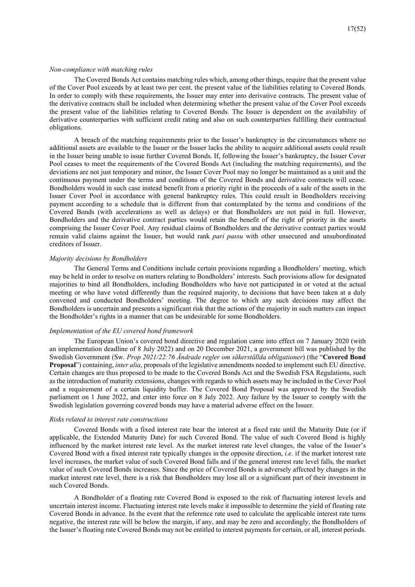### *Non-compliance with matching rules*

The Covered Bonds Act contains matching rules which, among other things, require that the present value of the Cover Pool exceeds by at least two per cent. the present value of the liabilities relating to Covered Bonds. In order to comply with these requirements, the Issuer may enter into derivative contracts. The present value of the derivative contracts shall be included when determining whether the present value of the Cover Pool exceeds the present value of the liabilities relating to Covered Bonds. The Issuer is dependent on the availability of derivative counterparties with sufficient credit rating and also on such counterparties fulfilling their contractual obligations.

A breach of the matching requirements prior to the Issuer's bankruptcy in the circumstances where no additional assets are available to the Issuer or the Issuer lacks the ability to acquire additional assets could result in the Issuer being unable to issue further Covered Bonds. If, following the Issuer's bankruptcy, the Issuer Cover Pool ceases to meet the requirements of the Covered Bonds Act (including the matching requirements), and the deviations are not just temporary and minor, the Issuer Cover Pool may no longer be maintained as a unit and the continuous payment under the terms and conditions of the Covered Bonds and derivative contracts will cease. Bondholders would in such case instead benefit from a priority right in the proceeds of a sale of the assets in the Issuer Cover Pool in accordance with general bankruptcy rules. This could result in Bondholders receiving payment according to a schedule that is different from that contemplated by the terms and conditions of the Covered Bonds (with accelerations as well as delays) or that Bondholders are not paid in full. However, Bondholders and the derivative contract parties would retain the benefit of the right of priority in the assets comprising the Issuer Cover Pool. Any residual claims of Bondholders and the derivative contract parties would remain valid claims against the Issuer, but would rank *pari passu* with other unsecured and unsubordinated creditors of Issuer.

### *Majority decisions by Bondholders*

The General Terms and Conditions include certain provisions regarding a Bondholders' meeting, which may be held in order to resolve on matters relating to Bondholders' interests. Such provisions allow for designated majorities to bind all Bondholders, including Bondholders who have not participated in or voted at the actual meeting or who have voted differently than the required majority, to decisions that have been taken at a duly convened and conducted Bondholders' meeting. The degree to which any such decisions may affect the Bondholders is uncertain and presents a significant risk that the actions of the majority in such matters can impact the Bondholder's rights in a manner that can be undesirable for some Bondholders.

### *Implementation of the EU covered bond framework*

The European Union's covered bond directive and regulation came into effect on 7 January 2020 (with an implementation deadline of 8 July 2022) and on 20 December 2021, a government bill was published by the Swedish Government (Sw. *Prop 2021/22:76 Ändrade regler om säkerställda obligationer*) (the "**Covered Bond Proposal**") containing, *inter alia*, proposals of the legislative amendments needed to implement such EU directive. Certain changes are thus proposed to be made to the Covered Bonds Act and the Swedish FSA Regulations, such as the introduction of maturity extensions, changes with regards to which assets may be included in the Cover Pool and a requirement of a certain liquidity buffer. The Covered Bond Proposal was approved by the Swedish parliament on 1 June 2022, and enter into force on 8 July 2022. Any failure by the Issuer to comply with the Swedish legislation governing covered bonds may have a material adverse effect on the Issuer.

### *Risks related to interest rate constructions*

Covered Bonds with a fixed interest rate bear the interest at a fixed rate until the Maturity Date (or if applicable, the Extended Maturity Date) for such Covered Bond. The value of such Covered Bond is highly influenced by the market interest rate level. As the market interest rate level changes, the value of the Issuer's Covered Bond with a fixed interest rate typically changes in the opposite direction, *i.e.* if the market interest rate level increases, the market value of such Covered Bond falls and if the general interest rate level falls, the market value of such Covered Bonds increases. Since the price of Covered Bonds is adversely affected by changes in the market interest rate level, there is a risk that Bondholders may lose all or a significant part of their investment in such Covered Bonds.

A Bondholder of a floating rate Covered Bond is exposed to the risk of fluctuating interest levels and uncertain interest income. Fluctuating interest rate levels make it impossible to determine the yield of floating rate Covered Bonds in advance. In the event that the reference rate used to calculate the applicable interest rate turns negative, the interest rate will be below the margin, if any, and may be zero and accordingly, the Bondholders of the Issuer's floating rate Covered Bonds may not be entitled to interest payments for certain, or all, interest periods.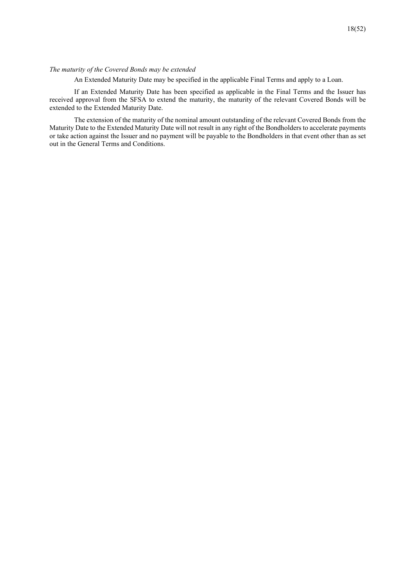## *The maturity of the Covered Bonds may be extended*

An Extended Maturity Date may be specified in the applicable Final Terms and apply to a Loan.

If an Extended Maturity Date has been specified as applicable in the Final Terms and the Issuer has received approval from the SFSA to extend the maturity, the maturity of the relevant Covered Bonds will be extended to the Extended Maturity Date.

The extension of the maturity of the nominal amount outstanding of the relevant Covered Bonds from the Maturity Date to the Extended Maturity Date will not result in any right of the Bondholders to accelerate payments or take action against the Issuer and no payment will be payable to the Bondholders in that event other than as set out in the General Terms and Conditions.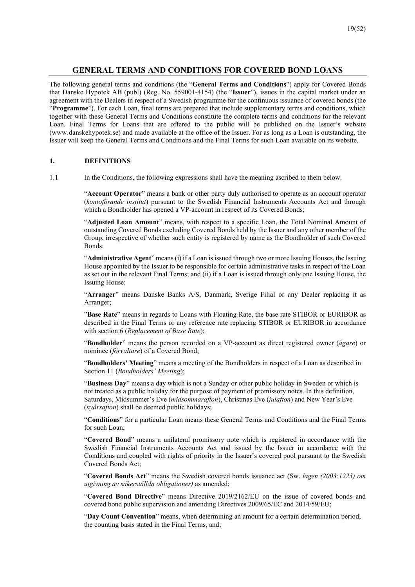## **GENERAL TERMS AND CONDITIONS FOR COVERED BOND LOANS**

The following general terms and conditions (the "**General Terms and Conditions**") apply for Covered Bonds that Danske Hypotek AB (publ) (Reg. No. 559001-4154) (the "**Issuer**"), issues in the capital market under an agreement with the Dealers in respect of a Swedish programme for the continuous issuance of covered bonds (the "**Programme**"). For each Loan, final terms are prepared that include supplementary terms and conditions, which together with these General Terms and Conditions constitute the complete terms and conditions for the relevant Loan. Final Terms for Loans that are offered to the public will be published on the Issuer's website (www.danskehypotek.se) and made available at the office of the Issuer. For as long as a Loan is outstanding, the Issuer will keep the General Terms and Conditions and the Final Terms for such Loan available on its website.

## **1. DEFINITIONS**

1.1 In the Conditions, the following expressions shall have the meaning ascribed to them below.

"**Account Operator**" means a bank or other party duly authorised to operate as an account operator (*kontoförande institut*) pursuant to the Swedish Financial Instruments Accounts Act and through which a Bondholder has opened a VP-account in respect of its Covered Bonds;

"**Adjusted Loan Amount**" means, with respect to a specific Loan, the Total Nominal Amount of outstanding Covered Bonds excluding Covered Bonds held by the Issuer and any other member of the Group, irrespective of whether such entity is registered by name as the Bondholder of such Covered Bonds;

"**Administrative Agent**" means (i) if a Loan is issued through two or more Issuing Houses, the Issuing House appointed by the Issuer to be responsible for certain administrative tasks in respect of the Loan as set out in the relevant Final Terms; and (ii) if a Loan is issued through only one Issuing House, the Issuing House;

"**Arranger**" means Danske Banks A/S, Danmark, Sverige Filial or any Dealer replacing it as Arranger;

"**Base Rate**" means in regards to Loans with Floating Rate, the base rate STIBOR or EURIBOR as described in the Final Terms or any reference rate replacing STIBOR or EURIBOR in accordance with section 6 (*Replacement of Base Rate*);

"**Bondholder**" means the person recorded on a VP-account as direct registered owner (*ägare*) or nominee (*förvaltare*) of a Covered Bond;

"**Bondholders' Meeting**" means a meeting of the Bondholders in respect of a Loan as described in Section 11 (*Bondholders' Meeting*);

"**Business Day**" means a day which is not a Sunday or other public holiday in Sweden or which is not treated as a public holiday for the purpose of payment of promissory notes. In this definition, Saturdays, Midsummer's Eve (*midsommarafton*), Christmas Eve (*julafton*) and New Year's Eve (*nyårsafton*) shall be deemed public holidays;

"**Conditions**" for a particular Loan means these General Terms and Conditions and the Final Terms for such Loan;

"**Covered Bond**" means a unilateral promissory note which is registered in accordance with the Swedish Financial Instruments Accounts Act and issued by the Issuer in accordance with the Conditions and coupled with rights of priority in the Issuer's covered pool pursuant to the Swedish Covered Bonds Act;

"**Covered Bonds Act**" means the Swedish covered bonds issuance act (Sw. *lagen (2003:1223) om utgivning av säkerställda obligationer)* as amended;

"**Covered Bond Directive**" means Directive 2019/2162/EU on the issue of covered bonds and covered bond public supervision and amending Directives 2009/65/EC and 2014/59/EU;

"**Day Count Convention**" means, when determining an amount for a certain determination period, the counting basis stated in the Final Terms, and;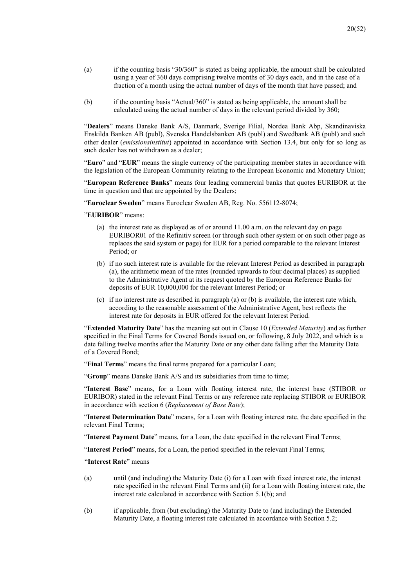- (a) if the counting basis "30/360" is stated as being applicable, the amount shall be calculated using a year of 360 days comprising twelve months of 30 days each, and in the case of a fraction of a month using the actual number of days of the month that have passed; and
- (b) if the counting basis "Actual/360" is stated as being applicable, the amount shall be calculated using the actual number of days in the relevant period divided by 360;

"**Dealers**" means Danske Bank A/S, Danmark, Sverige Filial, Nordea Bank Abp, Skandinaviska Enskilda Banken AB (publ), Svenska Handelsbanken AB (publ) and Swedbank AB (publ) and such other dealer (*emissionsinstitut*) appointed in accordance with Section 13.4, but only for so long as such dealer has not withdrawn as a dealer;

"**Euro**" and "**EUR**" means the single currency of the participating member states in accordance with the legislation of the European Community relating to the European Economic and Monetary Union;

"**European Reference Banks**" means four leading commercial banks that quotes EURIBOR at the time in question and that are appointed by the Dealers;

"**Euroclear Sweden**" means Euroclear Sweden AB, Reg. No. 556112-8074;

"**EURIBOR**" means:

- (a) the interest rate as displayed as of or around 11.00 a.m. on the relevant day on page EURIBOR01 of the Refinitiv screen (or through such other system or on such other page as replaces the said system or page) for EUR for a period comparable to the relevant Interest Period; or
- (b) if no such interest rate is available for the relevant Interest Period as described in paragraph (a), the arithmetic mean of the rates (rounded upwards to four decimal places) as supplied to the Administrative Agent at its request quoted by the European Reference Banks for deposits of EUR 10,000,000 for the relevant Interest Period; or
- (c) if no interest rate as described in paragraph (a) or (b) is available, the interest rate which, according to the reasonable assessment of the Administrative Agent, best reflects the interest rate for deposits in EUR offered for the relevant Interest Period.

"**Extended Maturity Date**" has the meaning set out in Clause 10 (*Extended Maturity*) and as further specified in the Final Terms for Covered Bonds issued on, or following, 8 July 2022, and which is a date falling twelve months after the Maturity Date or any other date falling after the Maturity Date of a Covered Bond;

"**Final Terms**" means the final terms prepared for a particular Loan;

"Group" means Danske Bank A/S and its subsidiaries from time to time;

"**Interest Base**" means, for a Loan with floating interest rate, the interest base (STIBOR or EURIBOR) stated in the relevant Final Terms or any reference rate replacing STIBOR or EURIBOR in accordance with section 6 (*Replacement of Base Rate*);

"**Interest Determination Date**" means, for a Loan with floating interest rate, the date specified in the relevant Final Terms;

"**Interest Payment Date**" means, for a Loan, the date specified in the relevant Final Terms;

"**Interest Period**" means, for a Loan, the period specified in the relevant Final Terms;

"**Interest Rate**" means

- (a) until (and including) the Maturity Date (i) for a Loan with fixed interest rate, the interest rate specified in the relevant Final Terms and (ii) for a Loan with floating interest rate, the interest rate calculated in accordance with Section 5.1(b); and
- (b) if applicable, from (but excluding) the Maturity Date to (and including) the Extended Maturity Date, a floating interest rate calculated in accordance with Section 5.2;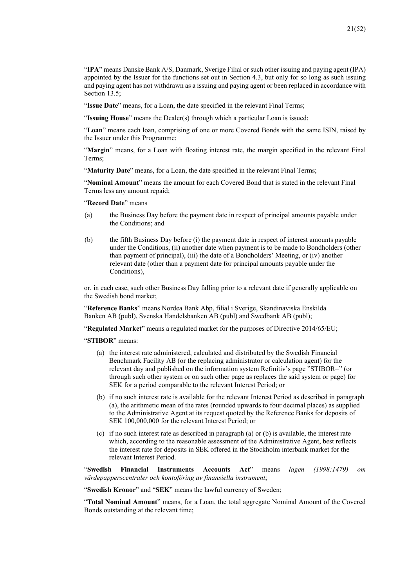"**IPA**" means Danske Bank A/S, Danmark, Sverige Filial or such other issuing and paying agent (IPA) appointed by the Issuer for the functions set out in Section 4.3, but only for so long as such issuing and paying agent has not withdrawn as a issuing and paying agent or been replaced in accordance with Section 13.5:

"**Issue Date**" means, for a Loan, the date specified in the relevant Final Terms;

"**Issuing House**" means the Dealer(s) through which a particular Loan is issued;

"**Loan**" means each loan, comprising of one or more Covered Bonds with the same ISIN, raised by the Issuer under this Programme;

"**Margin**" means, for a Loan with floating interest rate, the margin specified in the relevant Final Terms;

"Maturity Date" means, for a Loan, the date specified in the relevant Final Terms;

"**Nominal Amount**" means the amount for each Covered Bond that is stated in the relevant Final Terms less any amount repaid;

"**Record Date**" means

- (a) the Business Day before the payment date in respect of principal amounts payable under the Conditions; and
- (b) the fifth Business Day before (i) the payment date in respect of interest amounts payable under the Conditions, (ii) another date when payment is to be made to Bondholders (other than payment of principal), (iii) the date of a Bondholders' Meeting, or (iv) another relevant date (other than a payment date for principal amounts payable under the Conditions),

or, in each case, such other Business Day falling prior to a relevant date if generally applicable on the Swedish bond market;

"**Reference Banks**" means Nordea Bank Abp, filial i Sverige, Skandinaviska Enskilda Banken AB (publ), Svenska Handelsbanken AB (publ) and Swedbank AB (publ);

"**Regulated Market**" means a regulated market for the purposes of Directive 2014/65/EU;

"**STIBOR**" means:

- (a) the interest rate administered, calculated and distributed by the Swedish Financial Benchmark Facility AB (or the replacing administrator or calculation agent) for the relevant day and published on the information system Refinitiv's page "STIBOR=" (or through such other system or on such other page as replaces the said system or page) for SEK for a period comparable to the relevant Interest Period; or
- (b) if no such interest rate is available for the relevant Interest Period as described in paragraph (a), the arithmetic mean of the rates (rounded upwards to four decimal places) as supplied to the Administrative Agent at its request quoted by the Reference Banks for deposits of SEK 100,000,000 for the relevant Interest Period; or
- (c) if no such interest rate as described in paragraph (a) or (b) is available, the interest rate which, according to the reasonable assessment of the Administrative Agent, best reflects the interest rate for deposits in SEK offered in the Stockholm interbank market for the relevant Interest Period.

"**Swedish Financial Instruments Accounts Act**" means *lagen (1998:1479) om värdepapperscentraler och kontoföring av finansiella instrument*;

"**Swedish Kronor**" and "**SEK**" means the lawful currency of Sweden;

"**Total Nominal Amount**" means, for a Loan, the total aggregate Nominal Amount of the Covered Bonds outstanding at the relevant time;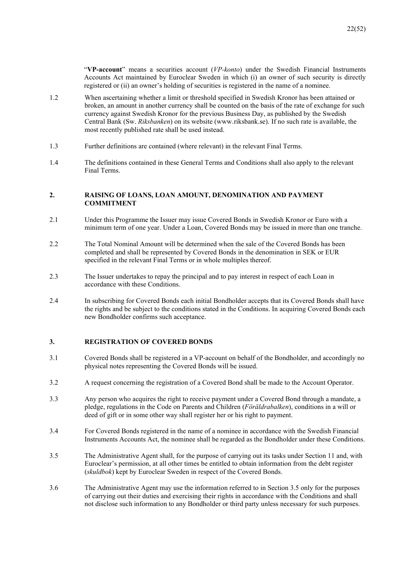"**VP-account**" means a securities account (*VP-konto*) under the Swedish Financial Instruments Accounts Act maintained by Euroclear Sweden in which (i) an owner of such security is directly registered or (ii) an owner's holding of securities is registered in the name of a nominee.

- 1.2 When ascertaining whether a limit or threshold specified in Swedish Kronor has been attained or broken, an amount in another currency shall be counted on the basis of the rate of exchange for such currency against Swedish Kronor for the previous Business Day, as published by the Swedish Central Bank (Sw. *Riksbanken*) on its website (www.riksbank.se). If no such rate is available, the most recently published rate shall be used instead.
- 1.3 Further definitions are contained (where relevant) in the relevant Final Terms.
- 1.4 The definitions contained in these General Terms and Conditions shall also apply to the relevant Final Terms.

## **2. RAISING OF LOANS, LOAN AMOUNT, DENOMINATION AND PAYMENT COMMITMENT**

- 2.1 Under this Programme the Issuer may issue Covered Bonds in Swedish Kronor or Euro with a minimum term of one year. Under a Loan, Covered Bonds may be issued in more than one tranche.
- 2.2 The Total Nominal Amount will be determined when the sale of the Covered Bonds has been completed and shall be represented by Covered Bonds in the denomination in SEK or EUR specified in the relevant Final Terms or in whole multiples thereof.
- 2.3 The Issuer undertakes to repay the principal and to pay interest in respect of each Loan in accordance with these Conditions.
- 2.4 In subscribing for Covered Bonds each initial Bondholder accepts that its Covered Bonds shall have the rights and be subject to the conditions stated in the Conditions. In acquiring Covered Bonds each new Bondholder confirms such acceptance.

## **3. REGISTRATION OF COVERED BONDS**

- 3.1 Covered Bonds shall be registered in a VP-account on behalf of the Bondholder, and accordingly no physical notes representing the Covered Bonds will be issued.
- 3.2 A request concerning the registration of a Covered Bond shall be made to the Account Operator.
- 3.3 Any person who acquires the right to receive payment under a Covered Bond through a mandate, a pledge, regulations in the Code on Parents and Children (*Föräldrabalken*), conditions in a will or deed of gift or in some other way shall register her or his right to payment.
- 3.4 For Covered Bonds registered in the name of a nominee in accordance with the Swedish Financial Instruments Accounts Act, the nominee shall be regarded as the Bondholder under these Conditions.
- 3.5 The Administrative Agent shall, for the purpose of carrying out its tasks under Section 11 and, with Euroclear's permission, at all other times be entitled to obtain information from the debt register (*skuldbok*) kept by Euroclear Sweden in respect of the Covered Bonds.
- 3.6 The Administrative Agent may use the information referred to in Section 3.5 only for the purposes of carrying out their duties and exercising their rights in accordance with the Conditions and shall not disclose such information to any Bondholder or third party unless necessary for such purposes.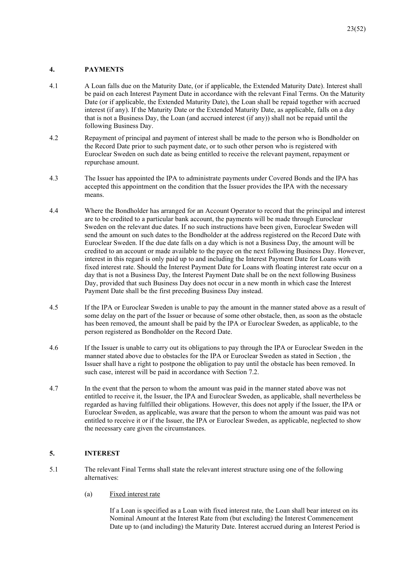## **4. PAYMENTS**

- 4.1 A Loan falls due on the Maturity Date, (or if applicable, the Extended Maturity Date). Interest shall be paid on each Interest Payment Date in accordance with the relevant Final Terms. On the Maturity Date (or if applicable, the Extended Maturity Date), the Loan shall be repaid together with accrued interest (if any). If the Maturity Date or the Extended Maturity Date, as applicable, falls on a day that is not a Business Day, the Loan (and accrued interest (if any)) shall not be repaid until the following Business Day.
- 4.2 Repayment of principal and payment of interest shall be made to the person who is Bondholder on the Record Date prior to such payment date, or to such other person who is registered with Euroclear Sweden on such date as being entitled to receive the relevant payment, repayment or repurchase amount.
- 4.3 The Issuer has appointed the IPA to administrate payments under Covered Bonds and the IPA has accepted this appointment on the condition that the Issuer provides the IPA with the necessary means.
- 4.4 Where the Bondholder has arranged for an Account Operator to record that the principal and interest are to be credited to a particular bank account, the payments will be made through Euroclear Sweden on the relevant due dates. If no such instructions have been given, Euroclear Sweden will send the amount on such dates to the Bondholder at the address registered on the Record Date with Euroclear Sweden. If the due date falls on a day which is not a Business Day, the amount will be credited to an account or made available to the payee on the next following Business Day. However, interest in this regard is only paid up to and including the Interest Payment Date for Loans with fixed interest rate. Should the Interest Payment Date for Loans with floating interest rate occur on a day that is not a Business Day, the Interest Payment Date shall be on the next following Business Day, provided that such Business Day does not occur in a new month in which case the Interest Payment Date shall be the first preceding Business Day instead.
- 4.5 If the IPA or Euroclear Sweden is unable to pay the amount in the manner stated above as a result of some delay on the part of the Issuer or because of some other obstacle, then, as soon as the obstacle has been removed, the amount shall be paid by the IPA or Euroclear Sweden, as applicable, to the person registered as Bondholder on the Record Date.
- 4.6 If the Issuer is unable to carry out its obligations to pay through the IPA or Euroclear Sweden in the manner stated above due to obstacles for the IPA or Euroclear Sweden as stated in Section , the Issuer shall have a right to postpone the obligation to pay until the obstacle has been removed. In such case, interest will be paid in accordance with Section 7.2.
- 4.7 In the event that the person to whom the amount was paid in the manner stated above was not entitled to receive it, the Issuer, the IPA and Euroclear Sweden, as applicable, shall nevertheless be regarded as having fulfilled their obligations. However, this does not apply if the Issuer, the IPA or Euroclear Sweden, as applicable, was aware that the person to whom the amount was paid was not entitled to receive it or if the Issuer, the IPA or Euroclear Sweden, as applicable, neglected to show the necessary care given the circumstances.

## **5. INTEREST**

- 5.1 The relevant Final Terms shall state the relevant interest structure using one of the following alternatives:
	- (a) Fixed interest rate

If a Loan is specified as a Loan with fixed interest rate, the Loan shall bear interest on its Nominal Amount at the Interest Rate from (but excluding) the Interest Commencement Date up to (and including) the Maturity Date. Interest accrued during an Interest Period is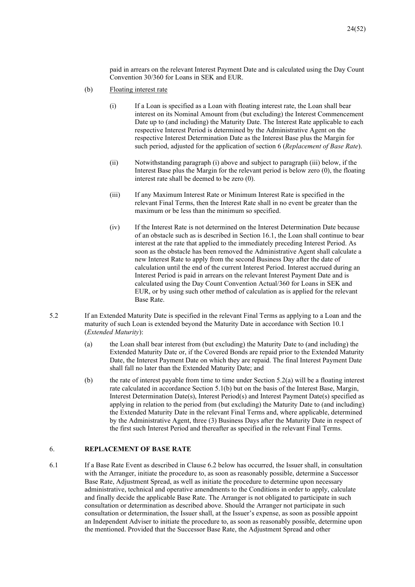paid in arrears on the relevant Interest Payment Date and is calculated using the Day Count Convention 30/360 for Loans in SEK and EUR.

- (b) Floating interest rate
	- (i) If a Loan is specified as a Loan with floating interest rate, the Loan shall bear interest on its Nominal Amount from (but excluding) the Interest Commencement Date up to (and including) the Maturity Date. The Interest Rate applicable to each respective Interest Period is determined by the Administrative Agent on the respective Interest Determination Date as the Interest Base plus the Margin for such period, adjusted for the application of section 6 (*Replacement of Base Rate*).
	- (ii) Notwithstanding paragraph (i) above and subject to paragraph (iii) below, if the Interest Base plus the Margin for the relevant period is below zero (0), the floating interest rate shall be deemed to be zero (0).
	- (iii) If any Maximum Interest Rate or Minimum Interest Rate is specified in the relevant Final Terms, then the Interest Rate shall in no event be greater than the maximum or be less than the minimum so specified.
	- (iv) If the Interest Rate is not determined on the Interest Determination Date because of an obstacle such as is described in Section 16.1, the Loan shall continue to bear interest at the rate that applied to the immediately preceding Interest Period. As soon as the obstacle has been removed the Administrative Agent shall calculate a new Interest Rate to apply from the second Business Day after the date of calculation until the end of the current Interest Period. Interest accrued during an Interest Period is paid in arrears on the relevant Interest Payment Date and is calculated using the Day Count Convention Actual/360 for Loans in SEK and EUR, or by using such other method of calculation as is applied for the relevant Base Rate.
- 5.2 If an Extended Maturity Date is specified in the relevant Final Terms as applying to a Loan and the maturity of such Loan is extended beyond the Maturity Date in accordance with Section 10.1 (*Extended Maturity*):
	- (a) the Loan shall bear interest from (but excluding) the Maturity Date to (and including) the Extended Maturity Date or, if the Covered Bonds are repaid prior to the Extended Maturity Date, the Interest Payment Date on which they are repaid. The final Interest Payment Date shall fall no later than the Extended Maturity Date; and
	- (b) the rate of interest payable from time to time under Section 5.2(a) will be a floating interest rate calculated in accordance Section 5.1(b) but on the basis of the Interest Base, Margin, Interest Determination Date(s), Interest Period(s) and Interest Payment Date(s) specified as applying in relation to the period from (but excluding) the Maturity Date to (and including) the Extended Maturity Date in the relevant Final Terms and, where applicable, determined by the Administrative Agent, three (3) Business Days after the Maturity Date in respect of the first such Interest Period and thereafter as specified in the relevant Final Terms.

## 6. **REPLACEMENT OF BASE RATE**

6.1 If a Base Rate Event as described in Clause 6.2 below has occurred, the Issuer shall, in consultation with the Arranger, initiate the procedure to, as soon as reasonably possible, determine a Successor Base Rate, Adjustment Spread, as well as initiate the procedure to determine upon necessary administrative, technical and operative amendments to the Conditions in order to apply, calculate and finally decide the applicable Base Rate. The Arranger is not obligated to participate in such consultation or determination as described above. Should the Arranger not participate in such consultation or determination, the Issuer shall, at the Issuer's expense, as soon as possible appoint an Independent Adviser to initiate the procedure to, as soon as reasonably possible, determine upon the mentioned. Provided that the Successor Base Rate, the Adjustment Spread and other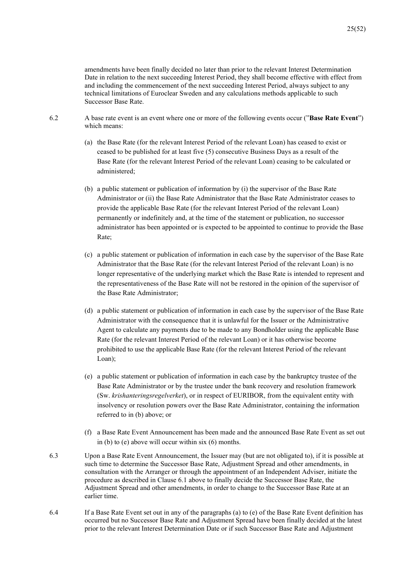amendments have been finally decided no later than prior to the relevant Interest Determination Date in relation to the next succeeding Interest Period, they shall become effective with effect from and including the commencement of the next succeeding Interest Period, always subject to any technical limitations of Euroclear Sweden and any calculations methods applicable to such Successor Base Rate.

- 6.2 A base rate event is an event where one or more of the following events occur ("**Base Rate Event**") which means:
	- (a) the Base Rate (for the relevant Interest Period of the relevant Loan) has ceased to exist or ceased to be published for at least five (5) consecutive Business Days as a result of the Base Rate (for the relevant Interest Period of the relevant Loan) ceasing to be calculated or administered;
	- (b) a public statement or publication of information by (i) the supervisor of the Base Rate Administrator or (ii) the Base Rate Administrator that the Base Rate Administrator ceases to provide the applicable Base Rate (for the relevant Interest Period of the relevant Loan) permanently or indefinitely and, at the time of the statement or publication, no successor administrator has been appointed or is expected to be appointed to continue to provide the Base Rate;
	- (c) a public statement or publication of information in each case by the supervisor of the Base Rate Administrator that the Base Rate (for the relevant Interest Period of the relevant Loan) is no longer representative of the underlying market which the Base Rate is intended to represent and the representativeness of the Base Rate will not be restored in the opinion of the supervisor of the Base Rate Administrator;
	- (d) a public statement or publication of information in each case by the supervisor of the Base Rate Administrator with the consequence that it is unlawful for the Issuer or the Administrative Agent to calculate any payments due to be made to any Bondholder using the applicable Base Rate (for the relevant Interest Period of the relevant Loan) or it has otherwise become prohibited to use the applicable Base Rate (for the relevant Interest Period of the relevant Loan);
	- (e) a public statement or publication of information in each case by the bankruptcy trustee of the Base Rate Administrator or by the trustee under the bank recovery and resolution framework (Sw. *krishanteringsregelverket*), or in respect of EURIBOR, from the equivalent entity with insolvency or resolution powers over the Base Rate Administrator, containing the information referred to in (b) above; or
	- (f) a Base Rate Event Announcement has been made and the announced Base Rate Event as set out in (b) to (e) above will occur within six (6) months.
- 6.3 Upon a Base Rate Event Announcement, the Issuer may (but are not obligated to), if it is possible at such time to determine the Successor Base Rate, Adjustment Spread and other amendments, in consultation with the Arranger or through the appointment of an Independent Adviser, initiate the procedure as described in Clause 6.1 above to finally decide the Successor Base Rate, the Adjustment Spread and other amendments, in order to change to the Successor Base Rate at an earlier time.
- 6.4 If a Base Rate Event set out in any of the paragraphs (a) to (e) of the Base Rate Event definition has occurred but no Successor Base Rate and Adjustment Spread have been finally decided at the latest prior to the relevant Interest Determination Date or if such Successor Base Rate and Adjustment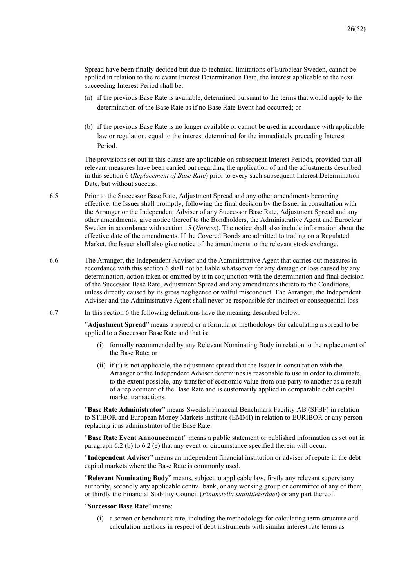Spread have been finally decided but due to technical limitations of Euroclear Sweden, cannot be applied in relation to the relevant Interest Determination Date, the interest applicable to the next succeeding Interest Period shall be:

- (a) if the previous Base Rate is available, determined pursuant to the terms that would apply to the determination of the Base Rate as if no Base Rate Event had occurred; or
- (b) if the previous Base Rate is no longer available or cannot be used in accordance with applicable law or regulation, equal to the interest determined for the immediately preceding Interest Period.

The provisions set out in this clause are applicable on subsequent Interest Periods, provided that all relevant measures have been carried out regarding the application of and the adjustments described in this section 6 (*Replacement of Base Rate*) prior to every such subsequent Interest Determination Date, but without success.

- 6.5 Prior to the Successor Base Rate, Adjustment Spread and any other amendments becoming effective, the Issuer shall promptly, following the final decision by the Issuer in consultation with the Arranger or the Independent Adviser of any Successor Base Rate, Adjustment Spread and any other amendments, give notice thereof to the Bondholders, the Administrative Agent and Euroclear Sweden in accordance with section 15 (*Notices*). The notice shall also include information about the effective date of the amendments. If the Covered Bonds are admitted to trading on a Regulated Market, the Issuer shall also give notice of the amendments to the relevant stock exchange.
- 6.6 The Arranger, the Independent Adviser and the Administrative Agent that carries out measures in accordance with this section 6 shall not be liable whatsoever for any damage or loss caused by any determination, action taken or omitted by it in conjunction with the determination and final decision of the Successor Base Rate, Adjustment Spread and any amendments thereto to the Conditions, unless directly caused by its gross negligence or wilful misconduct. The Arranger, the Independent Adviser and the Administrative Agent shall never be responsible for indirect or consequential loss.
- 6.7 In this section 6 the following definitions have the meaning described below:

"**Adjustment Spread**" means a spread or a formula or methodology for calculating a spread to be applied to a Successor Base Rate and that is:

- (i) formally recommended by any Relevant Nominating Body in relation to the replacement of the Base Rate; or
- (ii) if (i) is not applicable, the adjustment spread that the Issuer in consultation with the Arranger or the Independent Adviser determines is reasonable to use in order to eliminate, to the extent possible, any transfer of economic value from one party to another as a result of a replacement of the Base Rate and is customarily applied in comparable debt capital market transactions.

"**Base Rate Administrator**" means Swedish Financial Benchmark Facility AB (SFBF) in relation to STIBOR and European Money Markets Institute (EMMI) in relation to EURIBOR or any person replacing it as administrator of the Base Rate.

"**Base Rate Event Announcement**" means a public statement or published information as set out in paragraph 6.2 (b) to 6.2 (e) that any event or circumstance specified therein will occur.

"**Independent Adviser**" means an independent financial institution or adviser of repute in the debt capital markets where the Base Rate is commonly used.

"**Relevant Nominating Body**" means, subject to applicable law, firstly any relevant supervisory authority, secondly any applicable central bank, or any working group or committee of any of them, or thirdly the Financial Stability Council (*Finansiella stabilitetsrådet*) or any part thereof.

## "**Successor Base Rate**" means:

(i) a screen or benchmark rate, including the methodology for calculating term structure and calculation methods in respect of debt instruments with similar interest rate terms as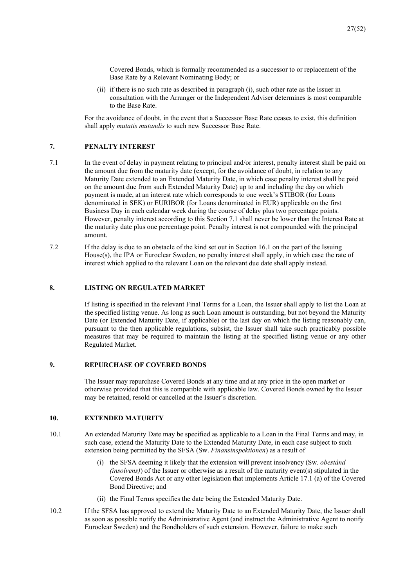27(52)

Covered Bonds, which is formally recommended as a successor to or replacement of the Base Rate by a Relevant Nominating Body; or

(ii) if there is no such rate as described in paragraph (i), such other rate as the Issuer in consultation with the Arranger or the Independent Adviser determines is most comparable to the Base Rate.

For the avoidance of doubt, in the event that a Successor Base Rate ceases to exist, this definition shall apply *mutatis mutandis* to such new Successor Base Rate.

## **7. PENALTY INTEREST**

- 7.1 In the event of delay in payment relating to principal and/or interest, penalty interest shall be paid on the amount due from the maturity date (except, for the avoidance of doubt, in relation to any Maturity Date extended to an Extended Maturity Date, in which case penalty interest shall be paid on the amount due from such Extended Maturity Date) up to and including the day on which payment is made, at an interest rate which corresponds to one week's STIBOR (for Loans denominated in SEK) or EURIBOR (for Loans denominated in EUR) applicable on the first Business Day in each calendar week during the course of delay plus two percentage points. However, penalty interest according to this Section 7.1 shall never be lower than the Interest Rate at the maturity date plus one percentage point. Penalty interest is not compounded with the principal amount.
- 7.2 If the delay is due to an obstacle of the kind set out in Section 16.1 on the part of the Issuing House(s), the IPA or Euroclear Sweden, no penalty interest shall apply, in which case the rate of interest which applied to the relevant Loan on the relevant due date shall apply instead.

## **8. LISTING ON REGULATED MARKET**

If listing is specified in the relevant Final Terms for a Loan, the Issuer shall apply to list the Loan at the specified listing venue. As long as such Loan amount is outstanding, but not beyond the Maturity Date (or Extended Maturity Date, if applicable) or the last day on which the listing reasonably can, pursuant to the then applicable regulations, subsist, the Issuer shall take such practicably possible measures that may be required to maintain the listing at the specified listing venue or any other Regulated Market.

## **9. REPURCHASE OF COVERED BONDS**

The Issuer may repurchase Covered Bonds at any time and at any price in the open market or otherwise provided that this is compatible with applicable law. Covered Bonds owned by the Issuer may be retained, resold or cancelled at the Issuer's discretion.

## **10. EXTENDED MATURITY**

- 10.1 An extended Maturity Date may be specified as applicable to a Loan in the Final Terms and may, in such case, extend the Maturity Date to the Extended Maturity Date, in each case subject to such extension being permitted by the SFSA (Sw. *Finansinspektionen*) as a result of
	- (i) the SFSA deeming it likely that the extension will prevent insolvency (Sw. *obestånd (insolvens)*) of the Issuer or otherwise as a result of the maturity event(s) stipulated in the Covered Bonds Act or any other legislation that implements Article 17.1 (a) of the Covered Bond Directive; and
	- (ii) the Final Terms specifies the date being the Extended Maturity Date.
- 10.2 If the SFSA has approved to extend the Maturity Date to an Extended Maturity Date, the Issuer shall as soon as possible notify the Administrative Agent (and instruct the Administrative Agent to notify Euroclear Sweden) and the Bondholders of such extension. However, failure to make such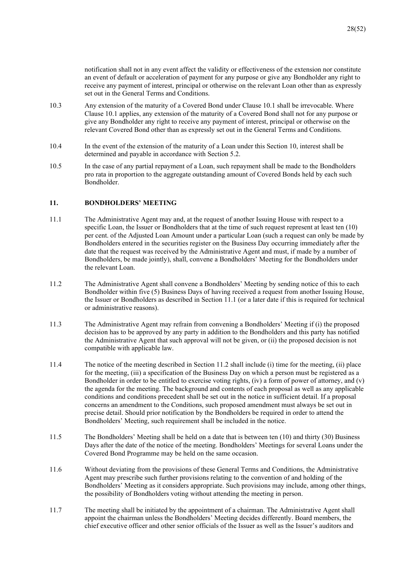notification shall not in any event affect the validity or effectiveness of the extension nor constitute an event of default or acceleration of payment for any purpose or give any Bondholder any right to receive any payment of interest, principal or otherwise on the relevant Loan other than as expressly set out in the General Terms and Conditions.

- 10.3 Any extension of the maturity of a Covered Bond under Clause 10.1 shall be irrevocable. Where Clause 10.1 applies, any extension of the maturity of a Covered Bond shall not for any purpose or give any Bondholder any right to receive any payment of interest, principal or otherwise on the relevant Covered Bond other than as expressly set out in the General Terms and Conditions.
- 10.4 In the event of the extension of the maturity of a Loan under this Section 10, interest shall be determined and payable in accordance with Section 5.2.
- 10.5 In the case of any partial repayment of a Loan, such repayment shall be made to the Bondholders pro rata in proportion to the aggregate outstanding amount of Covered Bonds held by each such Bondholder.

## **11. BONDHOLDERS' MEETING**

- 11.1 The Administrative Agent may and, at the request of another Issuing House with respect to a specific Loan, the Issuer or Bondholders that at the time of such request represent at least ten (10) per cent. of the Adjusted Loan Amount under a particular Loan (such a request can only be made by Bondholders entered in the securities register on the Business Day occurring immediately after the date that the request was received by the Administrative Agent and must, if made by a number of Bondholders, be made jointly), shall, convene a Bondholders' Meeting for the Bondholders under the relevant Loan.
- 11.2 The Administrative Agent shall convene a Bondholders' Meeting by sending notice of this to each Bondholder within five (5) Business Days of having received a request from another Issuing House, the Issuer or Bondholders as described in Section 11.1 (or a later date if this is required for technical or administrative reasons).
- 11.3 The Administrative Agent may refrain from convening a Bondholders' Meeting if (i) the proposed decision has to be approved by any party in addition to the Bondholders and this party has notified the Administrative Agent that such approval will not be given, or (ii) the proposed decision is not compatible with applicable law.
- 11.4 The notice of the meeting described in Section 11.2 shall include (i) time for the meeting, (ii) place for the meeting, (iii) a specification of the Business Day on which a person must be registered as a Bondholder in order to be entitled to exercise voting rights, (iv) a form of power of attorney, and (v) the agenda for the meeting. The background and contents of each proposal as well as any applicable conditions and conditions precedent shall be set out in the notice in sufficient detail. If a proposal concerns an amendment to the Conditions, such proposed amendment must always be set out in precise detail. Should prior notification by the Bondholders be required in order to attend the Bondholders' Meeting, such requirement shall be included in the notice.
- 11.5 The Bondholders' Meeting shall be held on a date that is between ten (10) and thirty (30) Business Days after the date of the notice of the meeting. Bondholders' Meetings for several Loans under the Covered Bond Programme may be held on the same occasion.
- 11.6 Without deviating from the provisions of these General Terms and Conditions, the Administrative Agent may prescribe such further provisions relating to the convention of and holding of the Bondholders' Meeting as it considers appropriate. Such provisions may include, among other things, the possibility of Bondholders voting without attending the meeting in person.
- 11.7 The meeting shall be initiated by the appointment of a chairman. The Administrative Agent shall appoint the chairman unless the Bondholders' Meeting decides differently. Board members, the chief executive officer and other senior officials of the Issuer as well as the Issuer's auditors and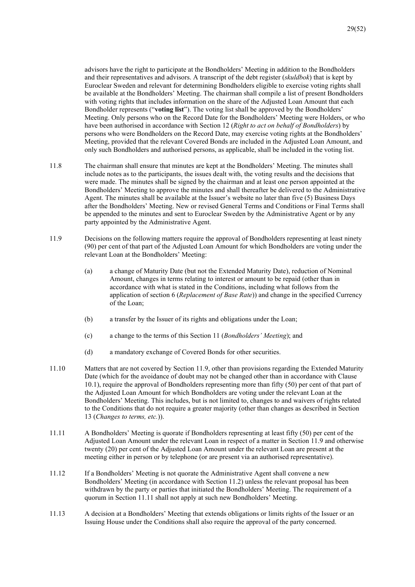advisors have the right to participate at the Bondholders' Meeting in addition to the Bondholders and their representatives and advisors. A transcript of the debt register (*skuldbok*) that is kept by Euroclear Sweden and relevant for determining Bondholders eligible to exercise voting rights shall be available at the Bondholders' Meeting. The chairman shall compile a list of present Bondholders with voting rights that includes information on the share of the Adjusted Loan Amount that each Bondholder represents ("**voting list**"). The voting list shall be approved by the Bondholders' Meeting. Only persons who on the Record Date for the Bondholders' Meeting were Holders, or who have been authorised in accordance with Section 12 (*Right to act on behalf of Bondholders*) by persons who were Bondholders on the Record Date, may exercise voting rights at the Bondholders' Meeting, provided that the relevant Covered Bonds are included in the Adjusted Loan Amount, and only such Bondholders and authorised persons, as applicable, shall be included in the voting list.

- 11.8 The chairman shall ensure that minutes are kept at the Bondholders' Meeting. The minutes shall include notes as to the participants, the issues dealt with, the voting results and the decisions that were made. The minutes shall be signed by the chairman and at least one person appointed at the Bondholders' Meeting to approve the minutes and shall thereafter be delivered to the Administrative Agent. The minutes shall be available at the Issuer's website no later than five (5) Business Days after the Bondholders' Meeting. New or revised General Terms and Conditions or Final Terms shall be appended to the minutes and sent to Euroclear Sweden by the Administrative Agent or by any party appointed by the Administrative Agent.
- 11.9 Decisions on the following matters require the approval of Bondholders representing at least ninety (90) per cent of that part of the Adjusted Loan Amount for which Bondholders are voting under the relevant Loan at the Bondholders' Meeting:
	- (a) a change of Maturity Date (but not the Extended Maturity Date), reduction of Nominal Amount, changes in terms relating to interest or amount to be repaid (other than in accordance with what is stated in the Conditions, including what follows from the application of section 6 (*Replacement of Base Rate*)) and change in the specified Currency of the Loan;
	- (b) a transfer by the Issuer of its rights and obligations under the Loan;
	- (c) a change to the terms of this Section 11 (*Bondholders' Meeting*); and
	- (d) a mandatory exchange of Covered Bonds for other securities.
- 11.10 Matters that are not covered by Section 11.9, other than provisions regarding the Extended Maturity Date (which for the avoidance of doubt may not be changed other than in accordance with Clause 10.1), require the approval of Bondholders representing more than fifty (50) per cent of that part of the Adjusted Loan Amount for which Bondholders are voting under the relevant Loan at the Bondholders' Meeting. This includes, but is not limited to, changes to and waivers of rights related to the Conditions that do not require a greater majority (other than changes as described in Section 13 (*Changes to terms, etc.*)).
- 11.11 A Bondholders' Meeting is quorate if Bondholders representing at least fifty (50) per cent of the Adjusted Loan Amount under the relevant Loan in respect of a matter in Section 11.9 and otherwise twenty (20) per cent of the Adjusted Loan Amount under the relevant Loan are present at the meeting either in person or by telephone (or are present via an authorised representative).
- 11.12 If a Bondholders' Meeting is not quorate the Administrative Agent shall convene a new Bondholders' Meeting (in accordance with Section 11.2) unless the relevant proposal has been withdrawn by the party or parties that initiated the Bondholders' Meeting. The requirement of a quorum in Section 11.11 shall not apply at such new Bondholders' Meeting.
- 11.13 A decision at a Bondholders' Meeting that extends obligations or limits rights of the Issuer or an Issuing House under the Conditions shall also require the approval of the party concerned.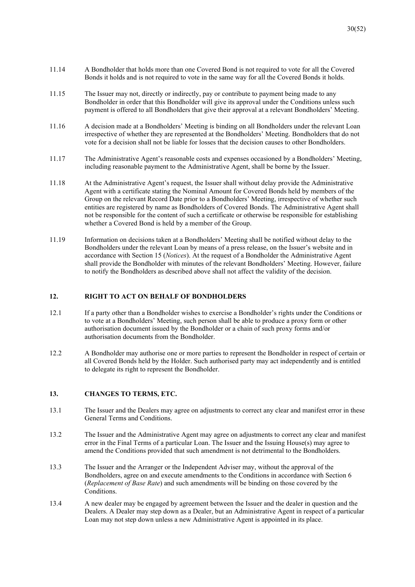- 11.14 A Bondholder that holds more than one Covered Bond is not required to vote for all the Covered Bonds it holds and is not required to vote in the same way for all the Covered Bonds it holds.
- 11.15 The Issuer may not, directly or indirectly, pay or contribute to payment being made to any Bondholder in order that this Bondholder will give its approval under the Conditions unless such payment is offered to all Bondholders that give their approval at a relevant Bondholders' Meeting.
- 11.16 A decision made at a Bondholders' Meeting is binding on all Bondholders under the relevant Loan irrespective of whether they are represented at the Bondholders' Meeting. Bondholders that do not vote for a decision shall not be liable for losses that the decision causes to other Bondholders.
- 11.17 The Administrative Agent's reasonable costs and expenses occasioned by a Bondholders' Meeting, including reasonable payment to the Administrative Agent, shall be borne by the Issuer.
- 11.18 At the Administrative Agent's request, the Issuer shall without delay provide the Administrative Agent with a certificate stating the Nominal Amount for Covered Bonds held by members of the Group on the relevant Record Date prior to a Bondholders' Meeting, irrespective of whether such entities are registered by name as Bondholders of Covered Bonds. The Administrative Agent shall not be responsible for the content of such a certificate or otherwise be responsible for establishing whether a Covered Bond is held by a member of the Group.
- 11.19 Information on decisions taken at a Bondholders' Meeting shall be notified without delay to the Bondholders under the relevant Loan by means of a press release, on the Issuer's website and in accordance with Section 15 (*Notices*). At the request of a Bondholder the Administrative Agent shall provide the Bondholder with minutes of the relevant Bondholders' Meeting. However, failure to notify the Bondholders as described above shall not affect the validity of the decision.

## **12. RIGHT TO ACT ON BEHALF OF BONDHOLDERS**

- 12.1 If a party other than a Bondholder wishes to exercise a Bondholder's rights under the Conditions or to vote at a Bondholders' Meeting, such person shall be able to produce a proxy form or other authorisation document issued by the Bondholder or a chain of such proxy forms and/or authorisation documents from the Bondholder.
- 12.2 A Bondholder may authorise one or more parties to represent the Bondholder in respect of certain or all Covered Bonds held by the Holder. Such authorised party may act independently and is entitled to delegate its right to represent the Bondholder.

## **13. CHANGES TO TERMS, ETC.**

- 13.1 The Issuer and the Dealers may agree on adjustments to correct any clear and manifest error in these General Terms and Conditions.
- 13.2 The Issuer and the Administrative Agent may agree on adjustments to correct any clear and manifest error in the Final Terms of a particular Loan. The Issuer and the Issuing House(s) may agree to amend the Conditions provided that such amendment is not detrimental to the Bondholders.
- 13.3 The Issuer and the Arranger or the Independent Adviser may, without the approval of the Bondholders, agree on and execute amendments to the Conditions in accordance with Section 6 (*Replacement of Base Rate*) and such amendments will be binding on those covered by the Conditions.
- 13.4 A new dealer may be engaged by agreement between the Issuer and the dealer in question and the Dealers. A Dealer may step down as a Dealer, but an Administrative Agent in respect of a particular Loan may not step down unless a new Administrative Agent is appointed in its place.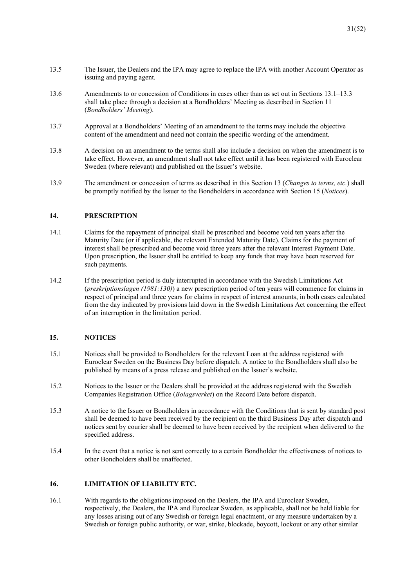- 13.5 The Issuer, the Dealers and the IPA may agree to replace the IPA with another Account Operator as issuing and paying agent.
- 13.6 Amendments to or concession of Conditions in cases other than as set out in Sections 13.1–13.3 shall take place through a decision at a Bondholders' Meeting as described in Section 11 (*Bondholders' Meeting*).
- 13.7 Approval at a Bondholders' Meeting of an amendment to the terms may include the objective content of the amendment and need not contain the specific wording of the amendment.
- 13.8 A decision on an amendment to the terms shall also include a decision on when the amendment is to take effect. However, an amendment shall not take effect until it has been registered with Euroclear Sweden (where relevant) and published on the Issuer's website.
- 13.9 The amendment or concession of terms as described in this Section 13 (*Changes to terms, etc.*) shall be promptly notified by the Issuer to the Bondholders in accordance with Section 15 (*Notices*).

## **14. PRESCRIPTION**

- 14.1 Claims for the repayment of principal shall be prescribed and become void ten years after the Maturity Date (or if applicable, the relevant Extended Maturity Date). Claims for the payment of interest shall be prescribed and become void three years after the relevant Interest Payment Date. Upon prescription, the Issuer shall be entitled to keep any funds that may have been reserved for such payments.
- 14.2 If the prescription period is duly interrupted in accordance with the Swedish Limitations Act (*preskriptionslagen (1981:130)*) a new prescription period of ten years will commence for claims in respect of principal and three years for claims in respect of interest amounts, in both cases calculated from the day indicated by provisions laid down in the Swedish Limitations Act concerning the effect of an interruption in the limitation period.

## **15. NOTICES**

- 15.1 Notices shall be provided to Bondholders for the relevant Loan at the address registered with Euroclear Sweden on the Business Day before dispatch. A notice to the Bondholders shall also be published by means of a press release and published on the Issuer's website.
- 15.2 Notices to the Issuer or the Dealers shall be provided at the address registered with the Swedish Companies Registration Office (*Bolagsverket*) on the Record Date before dispatch.
- 15.3 A notice to the Issuer or Bondholders in accordance with the Conditions that is sent by standard post shall be deemed to have been received by the recipient on the third Business Day after dispatch and notices sent by courier shall be deemed to have been received by the recipient when delivered to the specified address.
- 15.4 In the event that a notice is not sent correctly to a certain Bondholder the effectiveness of notices to other Bondholders shall be unaffected.

## **16. LIMITATION OF LIABILITY ETC.**

16.1 With regards to the obligations imposed on the Dealers, the IPA and Euroclear Sweden, respectively, the Dealers, the IPA and Euroclear Sweden, as applicable, shall not be held liable for any losses arising out of any Swedish or foreign legal enactment, or any measure undertaken by a Swedish or foreign public authority, or war, strike, blockade, boycott, lockout or any other similar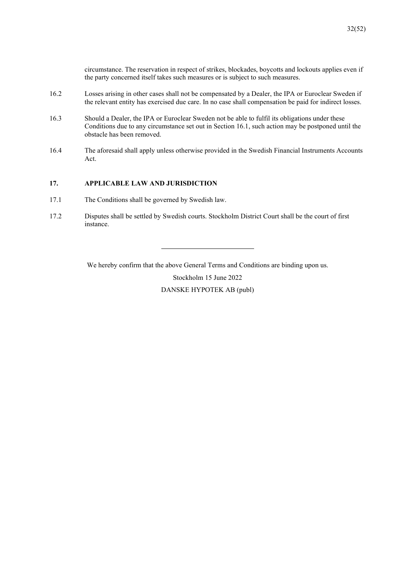circumstance. The reservation in respect of strikes, blockades, boycotts and lockouts applies even if the party concerned itself takes such measures or is subject to such measures.

- 16.2 Losses arising in other cases shall not be compensated by a Dealer, the IPA or Euroclear Sweden if the relevant entity has exercised due care. In no case shall compensation be paid for indirect losses.
- 16.3 Should a Dealer, the IPA or Euroclear Sweden not be able to fulfil its obligations under these Conditions due to any circumstance set out in Section 16.1, such action may be postponed until the obstacle has been removed.
- 16.4 The aforesaid shall apply unless otherwise provided in the Swedish Financial Instruments Accounts Act.

## **17. APPLICABLE LAW AND JURISDICTION**

- 17.1 The Conditions shall be governed by Swedish law.
- 17.2 Disputes shall be settled by Swedish courts. Stockholm District Court shall be the court of first instance.

We hereby confirm that the above General Terms and Conditions are binding upon us.

Stockholm 15 June 2022

DANSKE HYPOTEK AB (publ)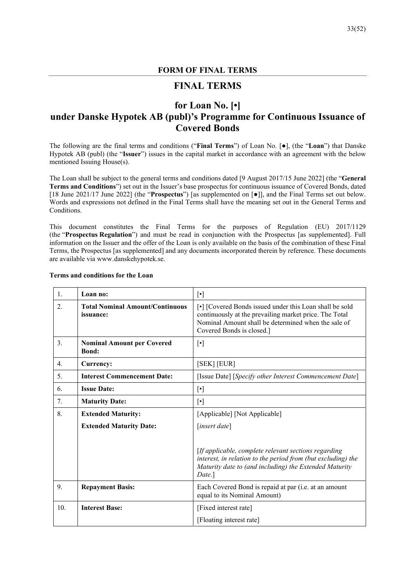## **FORM OF FINAL TERMS**

# **FINAL TERMS**

# **for Loan No. [•]**

# **under Danske Hypotek AB (publ)'s Programme for Continuous Issuance of Covered Bonds**

The following are the final terms and conditions ("**Final Terms**") of Loan No. [●], (the "**Loan**") that Danske Hypotek AB (publ) (the "**Issuer**") issues in the capital market in accordance with an agreement with the below mentioned Issuing House(s).

The Loan shall be subject to the general terms and conditions dated [9 August 2017/15 June 2022] (the "**General Terms and Conditions**") set out in the Issuer's base prospectus for continuous issuance of Covered Bonds, dated [18 June 2021/17 June 2022] (the "**Prospectus**") [as supplemented on [●]], and the Final Terms set out below. Words and expressions not defined in the Final Terms shall have the meaning set out in the General Terms and Conditions.

This document constitutes the Final Terms for the purposes of Regulation (EU) 2017/1129 (the "**Prospectus Regulation**") and must be read in conjunction with the Prospectus [as supplemented]. Full information on the Issuer and the offer of the Loan is only available on the basis of the combination of these Final Terms, the Prospectus [as supplemented] and any documents incorporated therein by reference. These documents are available via www.danskehypotek.se.

| 1.                                                               | Loan no:                                          | $[\cdot]$                                                                                                                                                                                                                                                                                                                                                                                                                                                                                             |  |
|------------------------------------------------------------------|---------------------------------------------------|-------------------------------------------------------------------------------------------------------------------------------------------------------------------------------------------------------------------------------------------------------------------------------------------------------------------------------------------------------------------------------------------------------------------------------------------------------------------------------------------------------|--|
| <b>Total Nominal Amount/Continuous</b><br>2.<br><i>issuance:</i> |                                                   | [•] [Covered Bonds issued under this Loan shall be sold<br>continuously at the prevailing market price. The Total<br>Nominal Amount shall be determined when the sale of<br>Covered Bonds is closed.]                                                                                                                                                                                                                                                                                                 |  |
| $\overline{3}$ .                                                 | <b>Nominal Amount per Covered</b><br><b>Bond:</b> | $[\cdot]$                                                                                                                                                                                                                                                                                                                                                                                                                                                                                             |  |
| 4.                                                               | Currency:                                         | [SEK] [EUR]                                                                                                                                                                                                                                                                                                                                                                                                                                                                                           |  |
| 5.                                                               | <b>Interest Commencement Date:</b>                | [Issue Date] [Specify other Interest Commencement Date]                                                                                                                                                                                                                                                                                                                                                                                                                                               |  |
| 6.                                                               | <b>Issue Date:</b>                                | $[\cdot] % \centering \includegraphics[width=0.9\textwidth]{images/TrDiM-Architecture.png} % \caption{The first two different values of $d \sim \tfrac{1}{\sqrt{2}}$ and $d \sim \tfrac{1}{\sqrt{2}}$ and $d \sim \tfrac{1}{\sqrt{2}}$ for $d \sim \tfrac{1}{\sqrt{2}}$ and $d \sim \tfrac{1}{\sqrt{2}}$ for $d \sim \tfrac{1}{\sqrt{2}}$ for $d \sim \tfrac{1}{\sqrt{2}}$ for $d \sim \tfrac{1}{\sqrt{2}}$ for $d \sim \tfrac{1}{\sqrt{2}}$ for $d \sim \tfrac{1}{\sqrt{2}}$ for $d \sim \tfrac{1}{$ |  |
| 7.                                                               | <b>Maturity Date:</b>                             | $[\cdot]$                                                                                                                                                                                                                                                                                                                                                                                                                                                                                             |  |
| 8.                                                               | <b>Extended Maturity:</b>                         | [Applicable] [Not Applicable]                                                                                                                                                                                                                                                                                                                                                                                                                                                                         |  |
|                                                                  | <b>Extended Maturity Date:</b>                    | [insert date]                                                                                                                                                                                                                                                                                                                                                                                                                                                                                         |  |
|                                                                  |                                                   | [If applicable, complete relevant sections regarding<br>interest, in relation to the period from (but excluding) the<br>Maturity date to (and including) the Extended Maturity<br>Date.]                                                                                                                                                                                                                                                                                                              |  |
| 9.                                                               | <b>Repayment Basis:</b>                           | Each Covered Bond is repaid at par (i.e. at an amount<br>equal to its Nominal Amount)                                                                                                                                                                                                                                                                                                                                                                                                                 |  |
| 10.                                                              | <b>Interest Base:</b>                             | [Fixed interest rate]                                                                                                                                                                                                                                                                                                                                                                                                                                                                                 |  |
|                                                                  |                                                   | [Floating interest rate]                                                                                                                                                                                                                                                                                                                                                                                                                                                                              |  |

### **Terms and conditions for the Loan**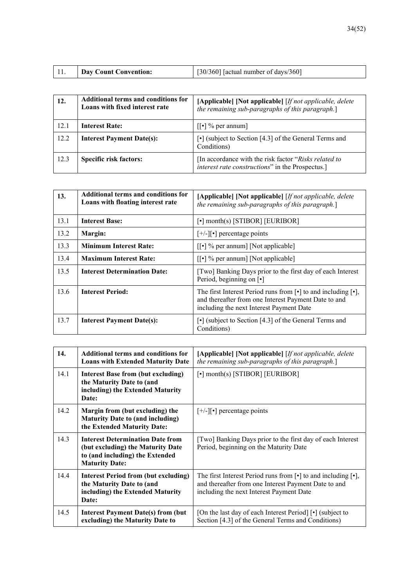| $\left[30/360\right]$ [actual number of days/360]<br><b>Day Count Convention:</b> |
|-----------------------------------------------------------------------------------|
|-----------------------------------------------------------------------------------|

| 12.  | Additional terms and conditions for<br>Loans with fixed interest rate | [Applicable] [Not applicable] [If not applicable, delete<br>the remaining sub-paragraphs of this paragraph.] |
|------|-----------------------------------------------------------------------|--------------------------------------------------------------------------------------------------------------|
| 12.1 | <b>Interest Rate:</b>                                                 | $\lceil \cdot \rceil$ % per annum                                                                            |
| 12.2 | <b>Interest Payment Date(s):</b>                                      | $\lceil \cdot \rceil$ (subject to Section [4.3] of the General Terms and<br>Conditions)                      |
| 12.3 | <b>Specific risk factors:</b>                                         | [In accordance with the risk factor "Risks related to<br>interest rate constructions" in the Prospectus.]    |

| 13.  | Additional terms and conditions for<br>Loans with floating interest rate                                                                | [Applicable] [Not applicable] [If not applicable, delete<br>the remaining sub-paragraphs of this paragraph.]                                                                                           |  |
|------|-----------------------------------------------------------------------------------------------------------------------------------------|--------------------------------------------------------------------------------------------------------------------------------------------------------------------------------------------------------|--|
| 13.1 | <b>Interest Base:</b>                                                                                                                   | $\lceil \cdot \rceil$ month(s) [STIBOR] [EURIBOR]                                                                                                                                                      |  |
| 13.2 | Margin:                                                                                                                                 | $[+/]-$ ][•] percentage points                                                                                                                                                                         |  |
| 13.3 | <b>Minimum Interest Rate:</b>                                                                                                           | $\lceil \cdot \rceil$ % per annum] [Not applicable]                                                                                                                                                    |  |
| 13.4 | <b>Maximum Interest Rate:</b>                                                                                                           | $\lceil \cdot \rceil$ % per annum] [Not applicable]                                                                                                                                                    |  |
| 13.5 | <b>Interest Determination Date:</b><br>[Two] Banking Days prior to the first day of each Interest<br>Period, beginning on [ $\bullet$ ] |                                                                                                                                                                                                        |  |
| 13.6 | <b>Interest Period:</b>                                                                                                                 | The first Interest Period runs from $\lceil \cdot \rceil$ to and including $\lceil \cdot \rceil$ ,<br>and thereafter from one Interest Payment Date to and<br>including the next Interest Payment Date |  |
| 13.7 | <b>Interest Payment Date(s):</b>                                                                                                        | • (subject to Section [4.3] of the General Terms and<br>Conditions)                                                                                                                                    |  |

| 14.  | Additional terms and conditions for<br><b>Loans with Extended Maturity Date</b>                                                          | [Applicable] [Not applicable] [If not applicable, delete<br>the remaining sub-paragraphs of this paragraph.]                                                                                           |
|------|------------------------------------------------------------------------------------------------------------------------------------------|--------------------------------------------------------------------------------------------------------------------------------------------------------------------------------------------------------|
| 14.1 | Interest Base from (but excluding)<br>the Maturity Date to (and<br>including) the Extended Maturity<br>Date:                             | [•] month(s) [STIBOR] [EURIBOR]                                                                                                                                                                        |
| 14.2 | Margin from (but excluding) the<br><b>Maturity Date to (and including)</b><br>the Extended Maturity Date:                                | $[+/]-$ ][•] percentage points                                                                                                                                                                         |
| 14.3 | <b>Interest Determination Date from</b><br>(but excluding) the Maturity Date<br>to (and including) the Extended<br><b>Maturity Date:</b> | [Two] Banking Days prior to the first day of each Interest<br>Period, beginning on the Maturity Date                                                                                                   |
| 14.4 | <b>Interest Period from (but excluding)</b><br>the Maturity Date to (and<br>including) the Extended Maturity<br>Date:                    | The first Interest Period runs from $\lceil \cdot \rceil$ to and including $\lceil \cdot \rceil$ ,<br>and thereafter from one Interest Payment Date to and<br>including the next Interest Payment Date |
| 14.5 | <b>Interest Payment Date(s) from (but</b><br>excluding) the Maturity Date to                                                             | [On the last day of each Interest Period] [•] (subject to<br>Section [4.3] of the General Terms and Conditions)                                                                                        |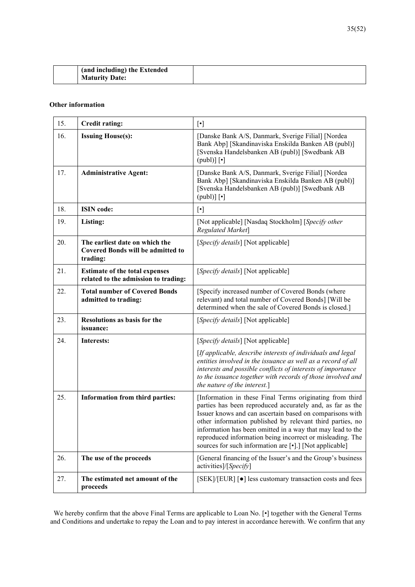| (and including) the Extended |  |
|------------------------------|--|
| <b>Maturity Date:</b>        |  |

## **Other information**

| 15. | <b>Credit rating:</b>                                                                  |                                                                                                                                                                                                                                                                                                                                                                                                                                                                                                       |  |
|-----|----------------------------------------------------------------------------------------|-------------------------------------------------------------------------------------------------------------------------------------------------------------------------------------------------------------------------------------------------------------------------------------------------------------------------------------------------------------------------------------------------------------------------------------------------------------------------------------------------------|--|
| 16. | <b>Issuing House(s):</b>                                                               | [Danske Bank A/S, Danmark, Sverige Filial] [Nordea<br>Bank Abp] [Skandinaviska Enskilda Banken AB (publ)]<br>[Svenska Handelsbanken AB (publ)] [Swedbank AB<br>$(pub])$ [•]                                                                                                                                                                                                                                                                                                                           |  |
| 17. | <b>Administrative Agent:</b>                                                           | [Danske Bank A/S, Danmark, Sverige Filial] [Nordea<br>Bank Abp] [Skandinaviska Enskilda Banken AB (publ)]<br>[Svenska Handelsbanken AB (publ)] [Swedbank AB<br>$(pub])$ [ $\cdot$ ]                                                                                                                                                                                                                                                                                                                   |  |
| 18. | <b>ISIN</b> code:                                                                      | $[\cdot] % \centering \includegraphics[width=0.9\textwidth]{images/TrDiM-Architecture.png} % \caption{The first two different values of $d \sim \tfrac{1}{\sqrt{2}}$ and $d \sim \tfrac{1}{\sqrt{2}}$ and $d \sim \tfrac{1}{\sqrt{2}}$ for $d \sim \tfrac{1}{\sqrt{2}}$ and $d \sim \tfrac{1}{\sqrt{2}}$ for $d \sim \tfrac{1}{\sqrt{2}}$ for $d \sim \tfrac{1}{\sqrt{2}}$ for $d \sim \tfrac{1}{\sqrt{2}}$ for $d \sim \tfrac{1}{\sqrt{2}}$ for $d \sim \tfrac{1}{\sqrt{2}}$ for $d \sim \tfrac{1}{$ |  |
| 19. | Listing:                                                                               | [Not applicable] [Nasdaq Stockholm] [Specify other<br>Regulated Market]                                                                                                                                                                                                                                                                                                                                                                                                                               |  |
| 20. | The earliest date on which the<br><b>Covered Bonds will be admitted to</b><br>trading: | [Specify details] [Not applicable]                                                                                                                                                                                                                                                                                                                                                                                                                                                                    |  |
| 21. | <b>Estimate of the total expenses</b><br>related to the admission to trading:          | [Specify details] [Not applicable]                                                                                                                                                                                                                                                                                                                                                                                                                                                                    |  |
| 22. | <b>Total number of Covered Bonds</b><br>admitted to trading:                           | [Specify increased number of Covered Bonds (where<br>relevant) and total number of Covered Bonds] [Will be<br>determined when the sale of Covered Bonds is closed.]                                                                                                                                                                                                                                                                                                                                   |  |
| 23. | <b>Resolutions as basis for the</b><br>issuance:                                       | [Specify details] [Not applicable]                                                                                                                                                                                                                                                                                                                                                                                                                                                                    |  |
| 24. | Interests:                                                                             | [Specify details] [Not applicable]                                                                                                                                                                                                                                                                                                                                                                                                                                                                    |  |
|     |                                                                                        | [If applicable, describe interests of individuals and legal<br>entities involved in the issuance as well as a record of all<br>interests and possible conflicts of interests of importance<br>to the issuance together with records of those involved and<br>the nature of the interest.]                                                                                                                                                                                                             |  |
| 25. | Information from third parties:                                                        | [Information in these Final Terms originating from third<br>parties has been reproduced accurately and, as far as the<br>Issuer knows and can ascertain based on comparisons with<br>other information published by relevant third parties, no<br>information has been omitted in a way that may lead to the<br>reproduced information being incorrect or misleading. The<br>sources for such information are [.].] [Not applicable]                                                                  |  |
| 26. | The use of the proceeds                                                                | [General financing of the Issuer's and the Group's business<br>activities]/[Specify]                                                                                                                                                                                                                                                                                                                                                                                                                  |  |
| 27. | The estimated net amount of the<br>proceeds                                            | [SEK]/[EUR] [ $\bullet$ ] less customary transaction costs and fees                                                                                                                                                                                                                                                                                                                                                                                                                                   |  |

We hereby confirm that the above Final Terms are applicable to Loan No. [•] together with the General Terms and Conditions and undertake to repay the Loan and to pay interest in accordance herewith. We confirm that any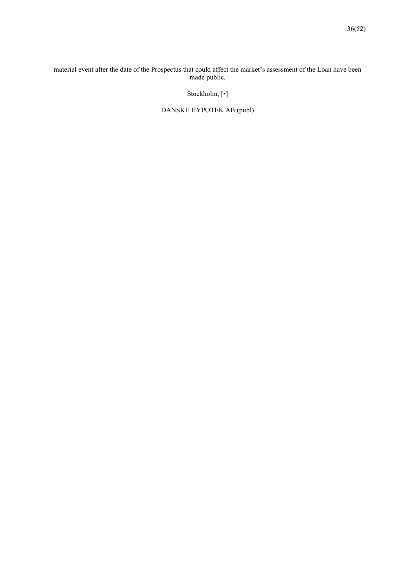## material event after the date of the Prospectus that could affect the market's assessment of the Loan have been made public.

# Stockholm, [•]

# DANSKE HYPOTEK AB (publ)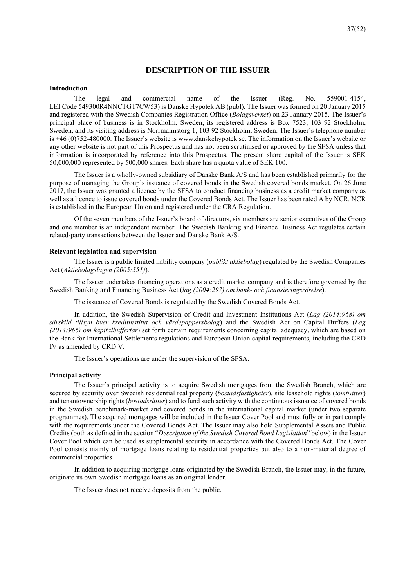## **DESCRIPTION OF THE ISSUER**

## **Introduction**

The legal and commercial name of the Issuer (Reg. No. 559001-4154, LEI Code 549300R4NNCTGT7CW53) is Danske Hypotek AB (publ). The Issuer was formed on 20 January 2015 and registered with the Swedish Companies Registration Office (*Bolagsverket*) on 23 January 2015. The Issuer's principal place of business is in Stockholm, Sweden, its registered address is Box 7523, 103 92 Stockholm, Sweden, and its visiting address is Norrmalmstorg 1, 103 92 Stockholm, Sweden. The Issuer's telephone number is +46 (0)752-480000. The Issuer's website is www.danskehypotek.se. The information on the Issuer's website or any other website is not part of this Prospectus and has not been scrutinised or approved by the SFSA unless that information is incorporated by reference into this Prospectus. The present share capital of the Issuer is SEK 50,000,000 represented by 500,000 shares. Each share has a quota value of SEK 100.

The Issuer is a wholly-owned subsidiary of Danske Bank A/S and has been established primarily for the purpose of managing the Group's issuance of covered bonds in the Swedish covered bonds market. On 26 June 2017, the Issuer was granted a licence by the SFSA to conduct financing business as a credit market company as well as a licence to issue covered bonds under the Covered Bonds Act. The Issuer has been rated A by NCR. NCR is established in the European Union and registered under the CRA Regulation.

Of the seven members of the Issuer's board of directors, six members are senior executives of the Group and one member is an independent member. The Swedish Banking and Finance Business Act regulates certain related-party transactions between the Issuer and Danske Bank A/S.

### **Relevant legislation and supervision**

The Issuer is a public limited liability company (*publikt aktiebolag*) regulated by the Swedish Companies Act (*Aktiebolagslagen (2005:551)*).

The Issuer undertakes financing operations as a credit market company and is therefore governed by the Swedish Banking and Financing Business Act (*lag (2004:297) om bank- och finansieringsrörelse*).

The issuance of Covered Bonds is regulated by the Swedish Covered Bonds Act.

In addition, the Swedish Supervision of Credit and Investment Institutions Act (*Lag (2014:968) om särskild tillsyn över kreditinstitut och värdepappersbolag*) and the Swedish Act on Capital Buffers (*Lag (2014:966) om kapitalbuffertar*) set forth certain requirements concerning capital adequacy, which are based on the Bank for International Settlements regulations and European Union capital requirements, including the CRD IV as amended by CRD V.

The Issuer's operations are under the supervision of the SFSA.

### **Principal activity**

The Issuer's principal activity is to acquire Swedish mortgages from the Swedish Branch, which are secured by security over Swedish residential real property (*bostadsfastigheter*), site leasehold rights (*tomträtter*) and tenantownership rights (*bostadsrätter*) and to fund such activity with the continuous issuance of covered bonds in the Swedish benchmark-market and covered bonds in the international capital market (under two separate programmes). The acquired mortgages will be included in the Issuer Cover Pool and must fully or in part comply with the requirements under the Covered Bonds Act. The Issuer may also hold Supplemental Assets and Public Credits (both as defined in the section "*Description of the Swedish Covered Bond Legislation*" below) in the Issuer Cover Pool which can be used as supplemental security in accordance with the Covered Bonds Act. The Cover Pool consists mainly of mortgage loans relating to residential properties but also to a non-material degree of commercial properties.

In addition to acquiring mortgage loans originated by the Swedish Branch, the Issuer may, in the future, originate its own Swedish mortgage loans as an original lender.

The Issuer does not receive deposits from the public.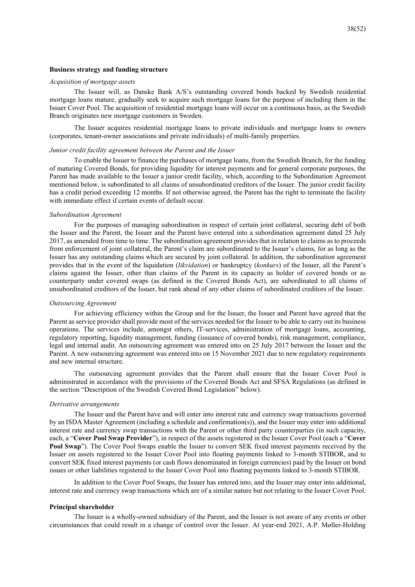### **Business strategy and funding structure**

### *Acquisition of mortgage assets*

The Issuer will, as Danske Bank A/S's outstanding covered bonds backed by Swedish residential mortgage loans mature, gradually seek to acquire such mortgage loans for the purpose of including them in the Issuer Cover Pool. The acquisition of residential mortgage loans will occur on a continuous basis, as the Swedish Branch originates new mortgage customers in Sweden.

The Issuer acquires residential mortgage loans to private individuals and mortgage loans to owners (corporates, tenant-owner associations and private individuals) of multi-family properties.

## *Junior credit facility agreement between the Parent and the Issuer*

To enable the Issuer to finance the purchases of mortgage loans, from the Swedish Branch, for the funding of maturing Covered Bonds, for providing liquidity for interest payments and for general corporate purposes, the Parent has made available to the Issuer a junior credit facility, which, according to the Subordination Agreement mentioned below, is subordinated to all claims of unsubordinated creditors of the Issuer. The junior credit facility has a credit period exceeding 12 months. If not otherwise agreed, the Parent has the right to terminate the facility with immediate effect if certain events of default occur.

### *Subordination Agreement*

For the purposes of managing subordination in respect of certain joint collateral, securing debt of both the Issuer and the Parent, the Issuer and the Parent have entered into a subordination agreement dated 25 July 2017, as amended from time to time. The subordination agreement provides that in relation to claims as to proceeds from enforcement of joint collateral, the Parent's claim are subordinated to the Issuer's claims, for as long as the Issuer has any outstanding claims which are secured by joint collateral. In addition, the subordination agreement provides that in the event of the liquidation (*likvidation*) or bankruptcy (*konkurs*) of the Issuer, all the Parent's claims against the Issuer, other than claims of the Parent in its capacity as holder of covered bonds or as counterparty under covered swaps (as defined in the Covered Bonds Act), are subordinated to all claims of unsubordinated creditors of the Issuer, but rank ahead of any other claims of subordinated creditors of the Issuer.

### *Outsourcing Agreement*

For achieving efficiency within the Group and for the Issuer, the Issuer and Parent have agreed that the Parent as service provider shall provide most of the services needed for the Issuer to be able to carry out its business operations. The services include, amongst others, IT-services, administration of mortgage loans, accounting, regulatory reporting, liquidity management, funding (issuance of covered bonds), risk management, compliance, legal and internal audit. An outsourcing agreement was entered into on 25 July 2017 between the Issuer and the Parent. A new outsourcing agreement was entered into on 15 November 2021 due to new regulatory requirements and new internal structure.

The outsourcing agreement provides that the Parent shall ensure that the Issuer Cover Pool is administrated in accordance with the provisions of the Covered Bonds Act and SFSA Regulations (as defined in the section "Description of the Swedish Covered Bond Legislation" below).

### *Derivative arrangements*

The Issuer and the Parent have and will enter into interest rate and currency swap transactions governed by an ISDA Master Agreement (including a schedule and confirmation(s)), and the Issuer may enter into additional interest rate and currency swap transactions with the Parent or other third party counterparties (in such capacity, each, a "**Cover Pool Swap Provider**"), in respect of the assets registered in the Issuer Cover Pool (each a "**Cover Pool Swap**"). The Cover Pool Swaps enable the Issuer to convert SEK fixed interest payments received by the Issuer on assets registered to the Issuer Cover Pool into floating payments linked to 3-month STIBOR, and to convert SEK fixed interest payments (or cash flows denominated in foreign currencies) paid by the Issuer on bond issues or other liabilities registered to the Issuer Cover Pool into floating payments linked to 3-month STIBOR.

In addition to the Cover Pool Swaps, the Issuer has entered into, and the Issuer may enter into additional, interest rate and currency swap transactions which are of a similar nature but not relating to the Issuer Cover Pool.

### **Principal shareholder**

The Issuer is a wholly-owned subsidiary of the Parent, and the Issuer is not aware of any events or other circumstances that could result in a change of control over the Issuer. At year-end 2021, A.P. Møller-Holding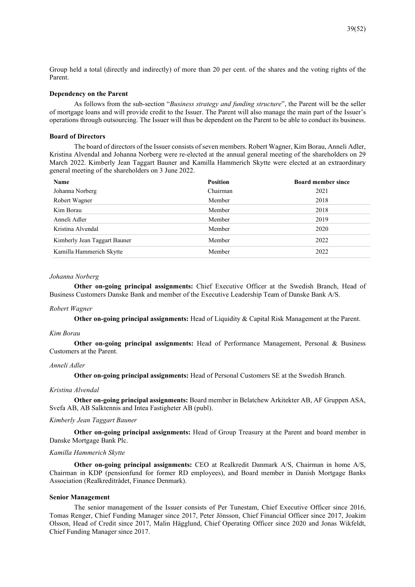Group held a total (directly and indirectly) of more than 20 per cent. of the shares and the voting rights of the Parent.

### **Dependency on the Parent**

As follows from the sub-section "*Business strategy and funding structure*", the Parent will be the seller of mortgage loans and will provide credit to the Issuer. The Parent will also manage the main part of the Issuer's operations through outsourcing. The Issuer will thus be dependent on the Parent to be able to conduct its business.

### **Board of Directors**

The board of directors of the Issuer consists of seven members. Robert Wagner, Kim Borau, Anneli Adler, Kristina Alvendal and Johanna Norberg were re-elected at the annual general meeting of the shareholders on 29 March 2022. Kimberly Jean Taggart Bauner and Kamilla Hammerich Skytte were elected at an extraordinary general meeting of the shareholders on 3 June 2022.

| Name                         | <b>Position</b> | <b>Board member since</b> |
|------------------------------|-----------------|---------------------------|
| Johanna Norberg              | Chairman        | 2021                      |
| Robert Wagner                | Member          | 2018                      |
| Kim Borau                    | Member          | 2018                      |
| Anneli Adler                 | Member          | 2019                      |
| Kristina Alvendal            | Member          | 2020                      |
| Kimberly Jean Taggart Bauner | Member          | 2022                      |
| Kamilla Hammerich Skytte     | Member          | 2022                      |

### *Johanna Norberg*

**Other on-going principal assignments:** Chief Executive Officer at the Swedish Branch, Head of Business Customers Danske Bank and member of the Executive Leadership Team of Danske Bank A/S.

### *Robert Wagner*

**Other on-going principal assignments:** Head of Liquidity & Capital Risk Management at the Parent.

### *Kim Borau*

**Other on-going principal assignments:** Head of Performance Management, Personal & Business Customers at the Parent.

### *Anneli Adler*

**Other on-going principal assignments:** Head of Personal Customers SE at the Swedish Branch.

### *Kristina Alvendal*

**Other on-going principal assignments:** Board member in Belatchew Arkitekter AB, AF Gruppen ASA, Svefa AB, AB Salktennis and Intea Fastigheter AB (publ).

### *Kimberly Jean Taggart Bauner*

**Other on-going principal assignments:** Head of Group Treasury at the Parent and board member in Danske Mortgage Bank Plc.

### *Kamilla Hammerich Skytte*

**Other on-going principal assignments:** CEO at Realkredit Danmark A/S, Chairman in home A/S, Chairman in KDP (pensionfund for former RD employees), and Board member in Danish Mortgage Banks Association (Realkreditrådet, Finance Denmark).

### **Senior Management**

The senior management of the Issuer consists of Per Tunestam, Chief Executive Officer since 2016, Tomas Renger, Chief Funding Manager since 2017, Peter Jönsson, Chief Financial Officer since 2017, Joakim Olsson, Head of Credit since 2017, Malin Hägglund, Chief Operating Officer since 2020 and Jonas Wikfeldt, Chief Funding Manager since 2017.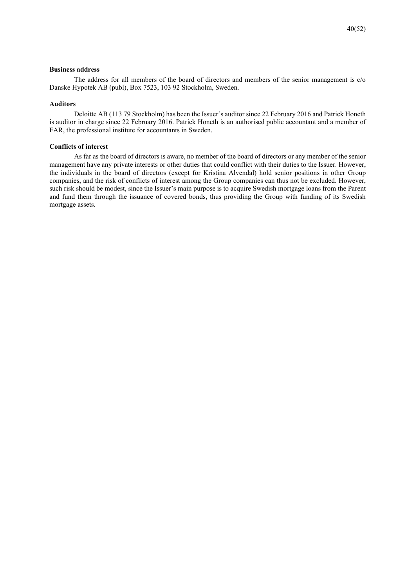### **Business address**

The address for all members of the board of directors and members of the senior management is c/o Danske Hypotek AB (publ), Box 7523, 103 92 Stockholm, Sweden.

## **Auditors**

Deloitte AB (113 79 Stockholm) has been the Issuer's auditor since 22 February 2016 and Patrick Honeth is auditor in charge since 22 February 2016. Patrick Honeth is an authorised public accountant and a member of FAR, the professional institute for accountants in Sweden.

### **Conflicts of interest**

As far as the board of directors is aware, no member of the board of directors or any member of the senior management have any private interests or other duties that could conflict with their duties to the Issuer. However, the individuals in the board of directors (except for Kristina Alvendal) hold senior positions in other Group companies, and the risk of conflicts of interest among the Group companies can thus not be excluded. However, such risk should be modest, since the Issuer's main purpose is to acquire Swedish mortgage loans from the Parent and fund them through the issuance of covered bonds, thus providing the Group with funding of its Swedish mortgage assets.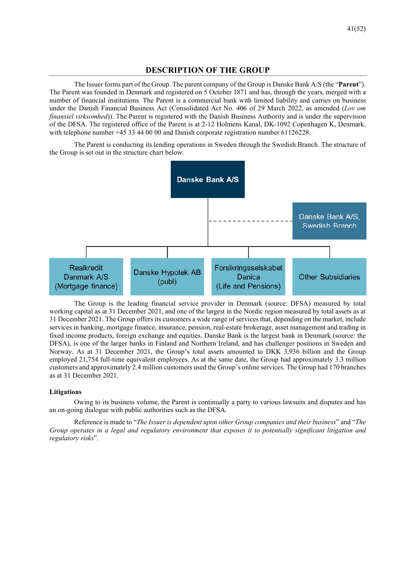## **DESCRIPTION OF THE GROUP**

The Issuer forms part of the Group. The parent company of the Group is Danske Bank A/S (the "**Parent**"). The Parent was founded in Denmark and registered on 5 October 1871 and has, through the years, merged with a number of financial institutions. The Parent is a commercial bank with limited liability and carries on business under the Danish Financial Business Act (Consolidated Act No. 406 of 29 March 2022, as amended (*Lov om finansiel virksomhed*)). The Parent is registered with the Danish Business Authority and is under the supervision of the DFSA. The registered office of the Parent is at 2-12 Holmens Kanal, DK-1092 Copenhagen K, Denmark, with telephone number +45 33 44 00 00 and Danish corporate registration number 61126228.

The Parent is conducting its lending operations in Sweden through the Swedish Branch. The structure of the Group is set out in the structure chart below.



The Group is the leading financial service provider in Denmark (source: DFSA) measured by total working capital as at 31 December 2021, and one of the largest in the Nordic region measured by total assets as at 31 December 2021. The Group offers its customers a wide range of services that, depending on the market, include services in banking, mortgage finance, insurance, pension, real-estate brokerage, asset management and trading in fixed income products, foreign exchange and equities. Danske Bank is the largest bank in Denmark (source: the DFSA), is one of the larger banks in Finland and Northern Ireland, and has challenger positions in Sweden and Norway. As at 31 December 2021, the Group's total assets amounted to DKK 3,936 billion and the Group employed 21,754 full-time equivalent employees. As at the same date, the Group had approximately 3.3 million customers and approximately 2.4 million customers used the Group's online services. The Group had 170 branches as at 31 December 2021.

## **Litigations**

Owing to its business volume, the Parent is continually a party to various lawsuits and disputes and has an on-going dialogue with public authorities such as the DFSA.

Reference is made to "*The Issuer is dependent upon other Group companies and their business*" and "*The Group operates in a legal and regulatory environment that exposes it to potentially significant litigation and regulatory risks*".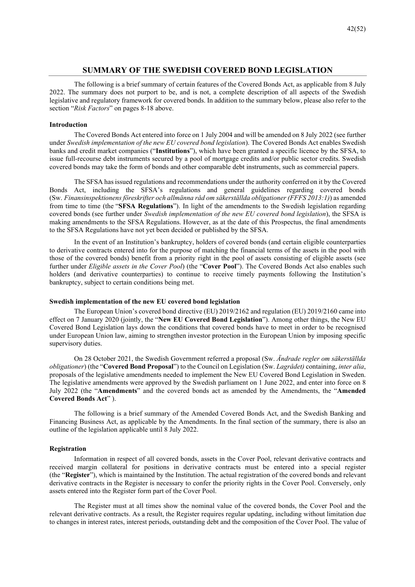## **SUMMARY OF THE SWEDISH COVERED BOND LEGISLATION**

The following is a brief summary of certain features of the Covered Bonds Act, as applicable from 8 July 2022. The summary does not purport to be, and is not, a complete description of all aspects of the Swedish legislative and regulatory framework for covered bonds. In addition to the summary below, please also refer to the section "*Risk Factors*" on pages 8-18 above.

### **Introduction**

The Covered Bonds Act entered into force on 1 July 2004 and will be amended on 8 July 2022 (see further under *Swedish implementation of the new EU covered bond legislation*). The Covered Bonds Act enables Swedish banks and credit market companies ("**Institutions**"), which have been granted a specific licence by the SFSA, to issue full-recourse debt instruments secured by a pool of mortgage credits and/or public sector credits. Swedish covered bonds may take the form of bonds and other comparable debt instruments, such as commercial papers.

The SFSA has issued regulations and recommendations under the authority conferred on it by the Covered Bonds Act, including the SFSA's regulations and general guidelines regarding covered bonds (Sw. *Finansinspektionens föreskrifter och allmänna råd om säkerställda obligationer (FFFS 2013:1)*) as amended from time to time (the "**SFSA Regulations**"). In light of the amendments to the Swedish legislation regarding covered bonds (see further under *Swedish implementation of the new EU covered bond legislation*), the SFSA is making amendments to the SFSA Regulations. However, as at the date of this Prospectus, the final amendments to the SFSA Regulations have not yet been decided or published by the SFSA.

In the event of an Institution's bankruptcy, holders of covered bonds (and certain eligible counterparties to derivative contracts entered into for the purpose of matching the financial terms of the assets in the pool with those of the covered bonds) benefit from a priority right in the pool of assets consisting of eligible assets (see further under *Eligible assets in the Cover Pool*) (the "**Cover Pool**"). The Covered Bonds Act also enables such holders (and derivative counterparties) to continue to receive timely payments following the Institution's bankruptcy, subject to certain conditions being met.

### **Swedish implementation of the new EU covered bond legislation**

The European Union's covered bond directive (EU) 2019/2162 and regulation (EU) 2019/2160 came into effect on 7 January 2020 (jointly, the "**New EU Covered Bond Legislation**"). Among other things, the New EU Covered Bond Legislation lays down the conditions that covered bonds have to meet in order to be recognised under European Union law, aiming to strengthen investor protection in the European Union by imposing specific supervisory duties.

On 28 October 2021, the Swedish Government referred a proposal (Sw. *Ändrade regler om säkerställda obligationer*) (the "**Covered Bond Proposal**") to the Council on Legislation (Sw. *Lagrådet)* containing, *inter alia*, proposals of the legislative amendments needed to implement the New EU Covered Bond Legislation in Sweden. The legislative amendments were approved by the Swedish parliament on 1 June 2022, and enter into force on 8 July 2022 (the "**Amendments**" and the covered bonds act as amended by the Amendments, the "**Amended Covered Bonds Act**" ).

The following is a brief summary of the Amended Covered Bonds Act, and the Swedish Banking and Financing Business Act, as applicable by the Amendments. In the final section of the summary, there is also an outline of the legislation applicable until 8 July 2022.

### **Registration**

Information in respect of all covered bonds, assets in the Cover Pool, relevant derivative contracts and received margin collateral for positions in derivative contracts must be entered into a special register (the "**Register**"), which is maintained by the Institution. The actual registration of the covered bonds and relevant derivative contracts in the Register is necessary to confer the priority rights in the Cover Pool. Conversely, only assets entered into the Register form part of the Cover Pool.

The Register must at all times show the nominal value of the covered bonds, the Cover Pool and the relevant derivative contracts. As a result, the Register requires regular updating, including without limitation due to changes in interest rates, interest periods, outstanding debt and the composition of the Cover Pool. The value of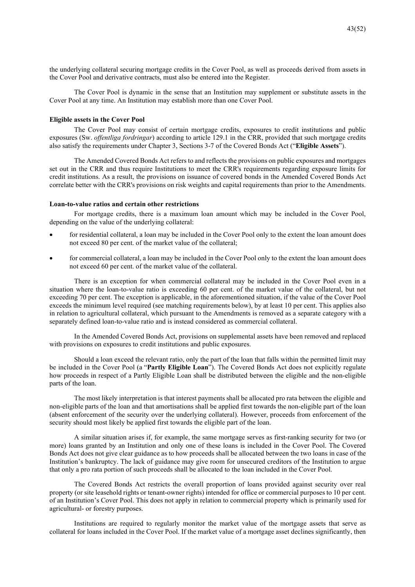the underlying collateral securing mortgage credits in the Cover Pool, as well as proceeds derived from assets in the Cover Pool and derivative contracts, must also be entered into the Register.

The Cover Pool is dynamic in the sense that an Institution may supplement or substitute assets in the Cover Pool at any time. An Institution may establish more than one Cover Pool.

### **Eligible assets in the Cover Pool**

The Cover Pool may consist of certain mortgage credits, exposures to credit institutions and public exposures (Sw. *offentliga fordringar*) according to article 129.1 in the CRR, provided that such mortgage credits also satisfy the requirements under Chapter 3, Sections 3-7 of the Covered Bonds Act ("**Eligible Assets**").

The Amended Covered Bonds Act refers to and reflects the provisions on public exposures and mortgages set out in the CRR and thus require Institutions to meet the CRR's requirements regarding exposure limits for credit institutions. As a result, the provisions on issuance of covered bonds in the Amended Covered Bonds Act correlate better with the CRR's provisions on risk weights and capital requirements than prior to the Amendments.

## **Loan-to-value ratios and certain other restrictions**

For mortgage credits, there is a maximum loan amount which may be included in the Cover Pool, depending on the value of the underlying collateral:

- for residential collateral, a loan may be included in the Cover Pool only to the extent the loan amount does not exceed 80 per cent. of the market value of the collateral;
- for commercial collateral, a loan may be included in the Cover Pool only to the extent the loan amount does not exceed 60 per cent. of the market value of the collateral.

There is an exception for when commercial collateral may be included in the Cover Pool even in a situation where the loan-to-value ratio is exceeding 60 per cent. of the market value of the collateral, but not exceeding 70 per cent. The exception is applicable, in the aforementioned situation, if the value of the Cover Pool exceeds the minimum level required (see matching requirements below), by at least 10 per cent. This applies also in relation to agricultural collateral, which pursuant to the Amendments is removed as a separate category with a separately defined loan-to-value ratio and is instead considered as commercial collateral.

In the Amended Covered Bonds Act, provisions on supplemental assets have been removed and replaced with provisions on exposures to credit institutions and public exposures.

Should a loan exceed the relevant ratio, only the part of the loan that falls within the permitted limit may be included in the Cover Pool (a "**Partly Eligible Loan**"). The Covered Bonds Act does not explicitly regulate how proceeds in respect of a Partly Eligible Loan shall be distributed between the eligible and the non-eligible parts of the loan.

The most likely interpretation is that interest payments shall be allocated pro rata between the eligible and non-eligible parts of the loan and that amortisations shall be applied first towards the non-eligible part of the loan (absent enforcement of the security over the underlying collateral). However, proceeds from enforcement of the security should most likely be applied first towards the eligible part of the loan.

A similar situation arises if, for example, the same mortgage serves as first-ranking security for two (or more) loans granted by an Institution and only one of these loans is included in the Cover Pool. The Covered Bonds Act does not give clear guidance as to how proceeds shall be allocated between the two loans in case of the Institution's bankruptcy. The lack of guidance may give room for unsecured creditors of the Institution to argue that only a pro rata portion of such proceeds shall be allocated to the loan included in the Cover Pool.

The Covered Bonds Act restricts the overall proportion of loans provided against security over real property (or site leasehold rights or tenant-owner rights) intended for office or commercial purposes to 10 per cent. of an Institution's Cover Pool. This does not apply in relation to commercial property which is primarily used for agricultural- or forestry purposes.

Institutions are required to regularly monitor the market value of the mortgage assets that serve as collateral for loans included in the Cover Pool. If the market value of a mortgage asset declines significantly, then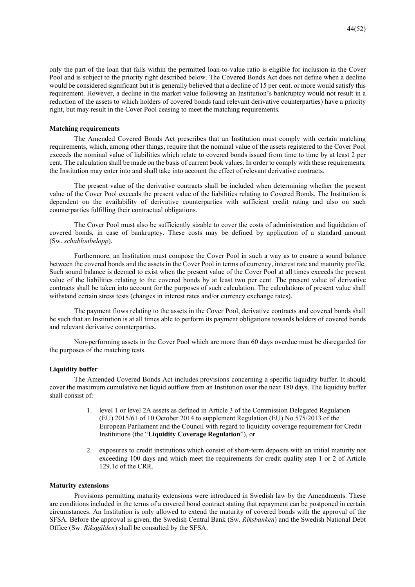only the part of the loan that falls within the permitted loan-to-value ratio is eligible for inclusion in the Cover Pool and is subject to the priority right described below. The Covered Bonds Act does not define when a decline would be considered significant but it is generally believed that a decline of 15 per cent. or more would satisfy this requirement. However, a decline in the market value following an Institution's bankruptcy would not result in a reduction of the assets to which holders of covered bonds (and relevant derivative counterparties) have a priority right, but may result in the Cover Pool ceasing to meet the matching requirements.

### **Matching requirements**

The Amended Covered Bonds Act prescribes that an Institution must comply with certain matching requirements, which, among other things, require that the nominal value of the assets registered to the Cover Pool exceeds the nominal value of liabilities which relate to covered bonds issued from time to time by at least 2 per cent. The calculation shall be made on the basis of current book values. In order to comply with these requirements, the Institution may enter into and shall take into account the effect of relevant derivative contracts.

The present value of the derivative contracts shall be included when determining whether the present value of the Cover Pool exceeds the present value of the liabilities relating to Covered Bonds. The Institution is dependent on the availability of derivative counterparties with sufficient credit rating and also on such counterparties fulfilling their contractual obligations.

The Cover Pool must also be sufficiently sizable to cover the costs of administration and liquidation of covered bonds, in case of bankruptcy. These costs may be defined by application of a standard amount (Sw. *schablonbelopp*).

Furthermore, an Institution must compose the Cover Pool in such a way as to ensure a sound balance between the covered bonds and the assets in the Cover Pool in terms of currency, interest rate and maturity profile. Such sound balance is deemed to exist when the present value of the Cover Pool at all times exceeds the present value of the liabilities relating to the covered bonds by at least two per cent. The present value of derivative contracts shall be taken into account for the purposes of such calculation. The calculations of present value shall withstand certain stress tests (changes in interest rates and/or currency exchange rates).

The payment flows relating to the assets in the Cover Pool, derivative contracts and covered bonds shall be such that an Institution is at all times able to perform its payment obligations towards holders of covered bonds and relevant derivative counterparties.

Non-performing assets in the Cover Pool which are more than 60 days overdue must be disregarded for the purposes of the matching tests.

## **Liquidity buffer**

The Amended Covered Bonds Act includes provisions concerning a specific liquidity buffer. It should cover the maximum cumulative net liquid outflow from an Institution over the next 180 days. The liquidity buffer shall consist of:

- 1. level 1 or level 2A assets as defined in Article 3 of the Commission Delegated Regulation (EU) 2015/61 of 10 October 2014 to supplement Regulation (EU) No 575/2013 of the European Parliament and the Council with regard to liquidity coverage requirement for Credit Institutions (the "**Liquidity Coverage Regulation**"), or
- 2. exposures to credit institutions which consist of short-term deposits with an initial maturity not exceeding 100 days and which meet the requirements for credit quality step 1 or 2 of Article 129.1c of the CRR.

### **Maturity extensions**

Provisions permitting maturity extensions were introduced in Swedish law by the Amendments. These are conditions included in the terms of a covered bond contract stating that repayment can be postponed in certain circumstances. An Institution is only allowed to extend the maturity of covered bonds with the approval of the SFSA. Before the approval is given, the Swedish Central Bank (Sw. *Riksbanken*) and the Swedish National Debt Office (Sw. *Riksgälden*) shall be consulted by the SFSA.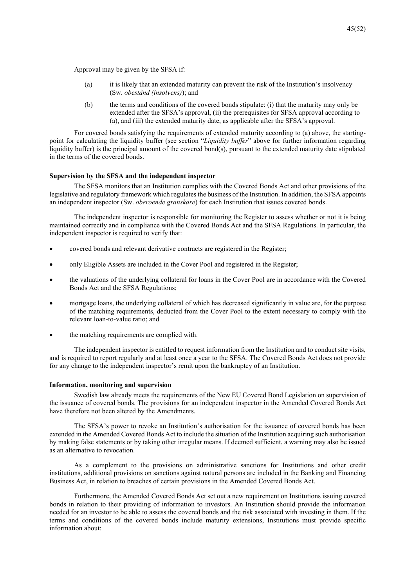Approval may be given by the SFSA if:

- (a) it is likely that an extended maturity can prevent the risk of the Institution's insolvency (Sw. *obestånd (insolvens)*); and
- (b) the terms and conditions of the covered bonds stipulate: (i) that the maturity may only be extended after the SFSA's approval, (ii) the prerequisites for SFSA approval according to (a), and (iii) the extended maturity date, as applicable after the SFSA's approval.

For covered bonds satisfying the requirements of extended maturity according to (a) above, the startingpoint for calculating the liquidity buffer (see section "*Liquidity buffer*" above for further information regarding liquidity buffer) is the principal amount of the covered bond(s), pursuant to the extended maturity date stipulated in the terms of the covered bonds.

### **Supervision by the SFSA and the independent inspector**

The SFSA monitors that an Institution complies with the Covered Bonds Act and other provisions of the legislative and regulatory framework which regulates the business of the Institution. In addition, the SFSA appoints an independent inspector (Sw. *oberoende granskare*) for each Institution that issues covered bonds.

The independent inspector is responsible for monitoring the Register to assess whether or not it is being maintained correctly and in compliance with the Covered Bonds Act and the SFSA Regulations. In particular, the independent inspector is required to verify that:

- covered bonds and relevant derivative contracts are registered in the Register;
- only Eligible Assets are included in the Cover Pool and registered in the Register;
- the valuations of the underlying collateral for loans in the Cover Pool are in accordance with the Covered Bonds Act and the SFSA Regulations;
- mortgage loans, the underlying collateral of which has decreased significantly in value are, for the purpose of the matching requirements, deducted from the Cover Pool to the extent necessary to comply with the relevant loan-to-value ratio; and
- the matching requirements are complied with.

The independent inspector is entitled to request information from the Institution and to conduct site visits, and is required to report regularly and at least once a year to the SFSA. The Covered Bonds Act does not provide for any change to the independent inspector's remit upon the bankruptcy of an Institution.

### **Information, monitoring and supervision**

Swedish law already meets the requirements of the New EU Covered Bond Legislation on supervision of the issuance of covered bonds. The provisions for an independent inspector in the Amended Covered Bonds Act have therefore not been altered by the Amendments.

The SFSA's power to revoke an Institution's authorisation for the issuance of covered bonds has been extended in the Amended Covered Bonds Act to include the situation of the Institution acquiring such authorisation by making false statements or by taking other irregular means. If deemed sufficient, a warning may also be issued as an alternative to revocation.

As a complement to the provisions on administrative sanctions for Institutions and other credit institutions, additional provisions on sanctions against natural persons are included in the Banking and Financing Business Act, in relation to breaches of certain provisions in the Amended Covered Bonds Act.

Furthermore, the Amended Covered Bonds Act set out a new requirement on Institutions issuing covered bonds in relation to their providing of information to investors. An Institution should provide the information needed for an investor to be able to assess the covered bonds and the risk associated with investing in them. If the terms and conditions of the covered bonds include maturity extensions, Institutions must provide specific information about: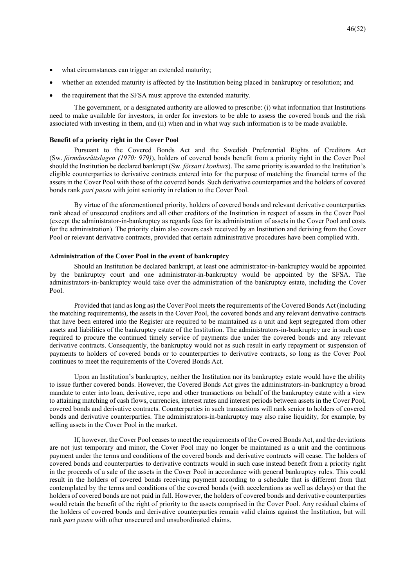- what circumstances can trigger an extended maturity;
- whether an extended maturity is affected by the Institution being placed in bankruptcy or resolution; and
- the requirement that the SFSA must approve the extended maturity.

The government, or a designated authority are allowed to prescribe: (i) what information that Institutions need to make available for investors, in order for investors to be able to assess the covered bonds and the risk associated with investing in them, and (ii) when and in what way such information is to be made available.

### **Benefit of a priority right in the Cover Pool**

Pursuant to the Covered Bonds Act and the Swedish Preferential Rights of Creditors Act (Sw. *förmånsrättslagen (1970: 979)*), holders of covered bonds benefit from a priority right in the Cover Pool should the Institution be declared bankrupt (Sw. *försatt i konkurs*). The same priority is awarded to the Institution's eligible counterparties to derivative contracts entered into for the purpose of matching the financial terms of the assets in the Cover Pool with those of the covered bonds. Such derivative counterparties and the holders of covered bonds rank *pari passu* with joint seniority in relation to the Cover Pool.

By virtue of the aforementioned priority, holders of covered bonds and relevant derivative counterparties rank ahead of unsecured creditors and all other creditors of the Institution in respect of assets in the Cover Pool (except the administrator-in-bankruptcy as regards fees for its administration of assets in the Cover Pool and costs for the administration). The priority claim also covers cash received by an Institution and deriving from the Cover Pool or relevant derivative contracts, provided that certain administrative procedures have been complied with.

## **Administration of the Cover Pool in the event of bankruptcy**

Should an Institution be declared bankrupt, at least one administrator-in-bankruptcy would be appointed by the bankruptcy court and one administrator-in-bankruptcy would be appointed by the SFSA. The administrators-in-bankruptcy would take over the administration of the bankruptcy estate, including the Cover Pool.

Provided that (and as long as) the Cover Pool meets the requirements of the Covered Bonds Act (including the matching requirements), the assets in the Cover Pool, the covered bonds and any relevant derivative contracts that have been entered into the Register are required to be maintained as a unit and kept segregated from other assets and liabilities of the bankruptcy estate of the Institution. The administrators-in-bankruptcy are in such case required to procure the continued timely service of payments due under the covered bonds and any relevant derivative contracts. Consequently, the bankruptcy would not as such result in early repayment or suspension of payments to holders of covered bonds or to counterparties to derivative contracts, so long as the Cover Pool continues to meet the requirements of the Covered Bonds Act.

Upon an Institution's bankruptcy, neither the Institution nor its bankruptcy estate would have the ability to issue further covered bonds. However, the Covered Bonds Act gives the administrators-in-bankruptcy a broad mandate to enter into loan, derivative, repo and other transactions on behalf of the bankruptcy estate with a view to attaining matching of cash flows, currencies, interest rates and interest periods between assets in the Cover Pool, covered bonds and derivative contracts. Counterparties in such transactions will rank senior to holders of covered bonds and derivative counterparties. The administrators-in-bankruptcy may also raise liquidity, for example, by selling assets in the Cover Pool in the market.

If, however, the Cover Pool ceases to meet the requirements of the Covered Bonds Act, and the deviations are not just temporary and minor, the Cover Pool may no longer be maintained as a unit and the continuous payment under the terms and conditions of the covered bonds and derivative contracts will cease. The holders of covered bonds and counterparties to derivative contracts would in such case instead benefit from a priority right in the proceeds of a sale of the assets in the Cover Pool in accordance with general bankruptcy rules. This could result in the holders of covered bonds receiving payment according to a schedule that is different from that contemplated by the terms and conditions of the covered bonds (with accelerations as well as delays) or that the holders of covered bonds are not paid in full. However, the holders of covered bonds and derivative counterparties would retain the benefit of the right of priority to the assets comprised in the Cover Pool. Any residual claims of the holders of covered bonds and derivative counterparties remain valid claims against the Institution, but will rank *pari passu* with other unsecured and unsubordinated claims.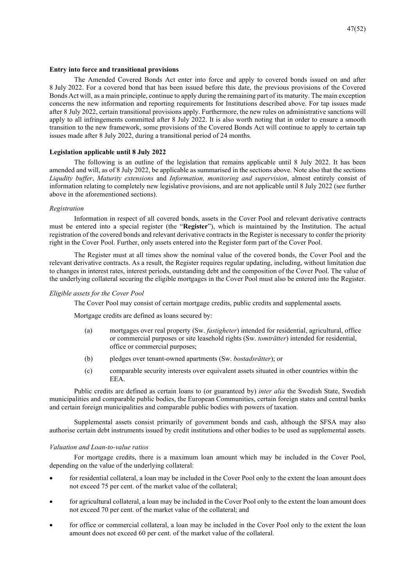### **Entry into force and transitional provisions**

The Amended Covered Bonds Act enter into force and apply to covered bonds issued on and after 8 July 2022. For a covered bond that has been issued before this date, the previous provisions of the Covered Bonds Act will, as a main principle, continue to apply during the remaining part of its maturity. The main exception concerns the new information and reporting requirements for Institutions described above. For tap issues made after 8 July 2022, certain transitional provisions apply. Furthermore, the new rules on administrative sanctions will apply to all infringements committed after 8 July 2022. It is also worth noting that in order to ensure a smooth transition to the new framework, some provisions of the Covered Bonds Act will continue to apply to certain tap issues made after 8 July 2022, during a transitional period of 24 months.

### **Legislation applicable until 8 July 2022**

The following is an outline of the legislation that remains applicable until 8 July 2022. It has been amended and will, as of 8 July 2022, be applicable as summarised in the sections above. Note also that the sections *Liqudity buffer*, *Maturity extensions* and *Information, monitoring and supervision*, almost entirely consist of information relating to completely new legislative provisions, and are not applicable until 8 July 2022 (see further above in the aforementioned sections).

### *Registration*

Information in respect of all covered bonds, assets in the Cover Pool and relevant derivative contracts must be entered into a special register (the "**Register**"), which is maintained by the Institution. The actual registration of the covered bonds and relevant derivative contracts in the Register is necessary to confer the priority right in the Cover Pool. Further, only assets entered into the Register form part of the Cover Pool.

The Register must at all times show the nominal value of the covered bonds, the Cover Pool and the relevant derivative contracts. As a result, the Register requires regular updating, including, without limitation due to changes in interest rates, interest periods, outstanding debt and the composition of the Cover Pool. The value of the underlying collateral securing the eligible mortgages in the Cover Pool must also be entered into the Register.

### *Eligible assets for the Cover Pool*

The Cover Pool may consist of certain mortgage credits, public credits and supplemental assets.

Mortgage credits are defined as loans secured by:

- (a) mortgages over real property (Sw. *fastigheter*) intended for residential, agricultural, office or commercial purposes or site leasehold rights (Sw. *tomträtter*) intended for residential, office or commercial purposes;
- (b) pledges over tenant-owned apartments (Sw. *bostadsrätter*); or
- (c) comparable security interests over equivalent assets situated in other countries within the EEA.

Public credits are defined as certain loans to (or guaranteed by) *inter alia* the Swedish State, Swedish municipalities and comparable public bodies, the European Communities, certain foreign states and central banks and certain foreign municipalities and comparable public bodies with powers of taxation.

Supplemental assets consist primarily of government bonds and cash, although the SFSA may also authorise certain debt instruments issued by credit institutions and other bodies to be used as supplemental assets.

### *Valuation and Loan-to-value ratios*

For mortgage credits, there is a maximum loan amount which may be included in the Cover Pool, depending on the value of the underlying collateral:

- for residential collateral, a loan may be included in the Cover Pool only to the extent the loan amount does not exceed 75 per cent. of the market value of the collateral;
- for agricultural collateral, a loan may be included in the Cover Pool only to the extent the loan amount does not exceed 70 per cent. of the market value of the collateral; and
- for office or commercial collateral, a loan may be included in the Cover Pool only to the extent the loan amount does not exceed 60 per cent. of the market value of the collateral.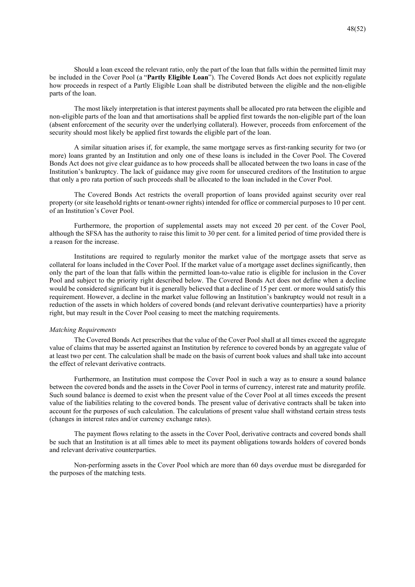Should a loan exceed the relevant ratio, only the part of the loan that falls within the permitted limit may be included in the Cover Pool (a "**Partly Eligible Loan**"). The Covered Bonds Act does not explicitly regulate how proceeds in respect of a Partly Eligible Loan shall be distributed between the eligible and the non-eligible parts of the loan.

The most likely interpretation is that interest payments shall be allocated pro rata between the eligible and non-eligible parts of the loan and that amortisations shall be applied first towards the non-eligible part of the loan (absent enforcement of the security over the underlying collateral). However, proceeds from enforcement of the security should most likely be applied first towards the eligible part of the loan.

A similar situation arises if, for example, the same mortgage serves as first-ranking security for two (or more) loans granted by an Institution and only one of these loans is included in the Cover Pool. The Covered Bonds Act does not give clear guidance as to how proceeds shall be allocated between the two loans in case of the Institution's bankruptcy. The lack of guidance may give room for unsecured creditors of the Institution to argue that only a pro rata portion of such proceeds shall be allocated to the loan included in the Cover Pool.

The Covered Bonds Act restricts the overall proportion of loans provided against security over real property (or site leasehold rights or tenant-owner rights) intended for office or commercial purposes to 10 per cent. of an Institution's Cover Pool.

Furthermore, the proportion of supplemental assets may not exceed 20 per cent. of the Cover Pool, although the SFSA has the authority to raise this limit to 30 per cent. for a limited period of time provided there is a reason for the increase.

Institutions are required to regularly monitor the market value of the mortgage assets that serve as collateral for loans included in the Cover Pool. If the market value of a mortgage asset declines significantly, then only the part of the loan that falls within the permitted loan-to-value ratio is eligible for inclusion in the Cover Pool and subject to the priority right described below. The Covered Bonds Act does not define when a decline would be considered significant but it is generally believed that a decline of 15 per cent. or more would satisfy this requirement. However, a decline in the market value following an Institution's bankruptcy would not result in a reduction of the assets in which holders of covered bonds (and relevant derivative counterparties) have a priority right, but may result in the Cover Pool ceasing to meet the matching requirements.

### *Matching Requirements*

The Covered Bonds Act prescribes that the value of the Cover Pool shall at all times exceed the aggregate value of claims that may be asserted against an Institution by reference to covered bonds by an aggregate value of at least two per cent. The calculation shall be made on the basis of current book values and shall take into account the effect of relevant derivative contracts.

Furthermore, an Institution must compose the Cover Pool in such a way as to ensure a sound balance between the covered bonds and the assets in the Cover Pool in terms of currency, interest rate and maturity profile. Such sound balance is deemed to exist when the present value of the Cover Pool at all times exceeds the present value of the liabilities relating to the covered bonds. The present value of derivative contracts shall be taken into account for the purposes of such calculation. The calculations of present value shall withstand certain stress tests (changes in interest rates and/or currency exchange rates).

The payment flows relating to the assets in the Cover Pool, derivative contracts and covered bonds shall be such that an Institution is at all times able to meet its payment obligations towards holders of covered bonds and relevant derivative counterparties.

Non-performing assets in the Cover Pool which are more than 60 days overdue must be disregarded for the purposes of the matching tests.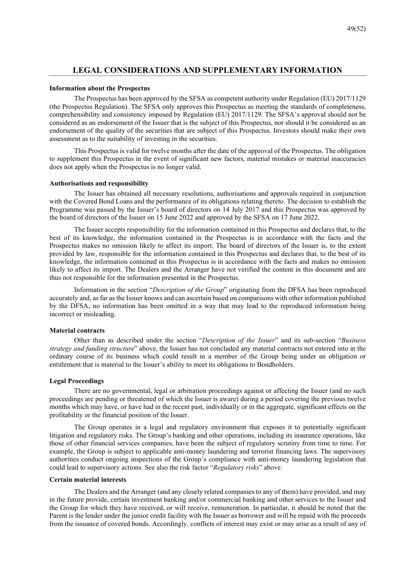## **LEGAL CONSIDERATIONS AND SUPPLEMENTARY INFORMATION**

## **Information about the Prospectus**

The Prospectus has been approved by the SFSA as competent authority under Regulation (EU) 2017/1129 (the Prospectus Regulation). The SFSA only approves this Prospectus as meeting the standards of completeness, comprehensibility and consistency imposed by Regulation (EU) 2017/1129. The SFSA's approval should not be considered as an endorsement of the Issuer that is the subject of this Prospectus, nor should it be considered as an endorsement of the quality of the securities that are subject of this Prospectus. Investors should make their own assessment as to the suitability of investing in the securities.

This Prospectus is valid for twelve months after the date of the approval of the Prospectus. The obligation to supplement this Prospectus in the event of significant new factors, material mistakes or material inaccuracies does not apply when the Prospectus is no longer valid.

### **Authorisations and responsibility**

The Issuer has obtained all necessary resolutions, authorisations and approvals required in conjunction with the Covered Bond Loans and the performance of its obligations relating thereto. The decision to establish the Programme was passed by the Issuer's board of directors on 14 July 2017 and this Prospectus was approved by the board of directors of the Issuer on 15 June 2022 and approved by the SFSA on 17 June 2022.

The Issuer accepts responsibility for the information contained in this Prospectus and declares that, to the best of its knowledge, the information contained in the Prospectus is in accordance with the facts and the Prospectus makes no omission likely to affect its import. The board of directors of the Issuer is, to the extent provided by law, responsible for the information contained in this Prospectus and declares that, to the best of its knowledge, the information contained in this Prospectus is in accordance with the facts and makes no omission likely to affect its import. The Dealers and the Arranger have not verified the content in this document and are thus not responsible for the information presented in the Prospectus.

Information in the section "*Description of the Group*" originating from the DFSA has been reproduced accurately and, as far as the Issuer knows and can ascertain based on comparisons with other information published by the DFSA, no information has been omitted in a way that may lead to the reproduced information being incorrect or misleading.

### **Material contracts**

Other than as described under the section "*Description of the Issuer*" and its sub-section "*Business strategy and funding structure*" above, the Issuer has not concluded any material contracts not entered into in the ordinary course of its business which could result in a member of the Group being under an obligation or entitlement that is material to the Issuer's ability to meet its obligations to Bondholders.

### **Legal Proceedings**

There are no governmental, legal or arbitration proceedings against or affecting the Issuer (and no such proceedings are pending or threatened of which the Issuer is aware) during a period covering the previous twelve months which may have, or have had in the recent past, individually or in the aggregate, significant effects on the profitability or the financial position of the Issuer.

The Group operates in a legal and regulatory environment that exposes it to potentially significant litigation and regulatory risks. The Group's banking and other operations, including its insurance operations, like those of other financial services companies, have been the subject of regulatory scrutiny from time to time. For example, the Group is subject to applicable anti-money laundering and terrorist financing laws. The supervisory authorities conduct ongoing inspections of the Group's compliance with anti-money laundering legislation that could lead to supervisory actions. See also the risk factor "*Regulatory risks*" above.

## **Certain material interests**

The Dealers and the Arranger (and any closely related companies to any of them) have provided, and may in the future provide, certain investment banking and/or commercial banking and other services to the Issuer and the Group for which they have received, or will receive, remuneration. In particular, it should be noted that the Parent is the lender under the junior credit facility with the Issuer as borrower and will be repaid with the proceeds from the issuance of covered bonds. Accordingly, conflicts of interest may exist or may arise as a result of any of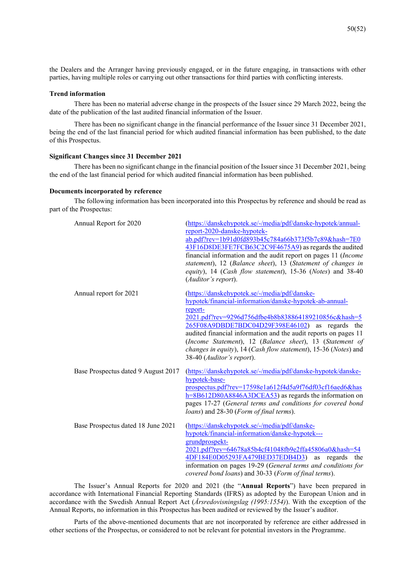the Dealers and the Arranger having previously engaged, or in the future engaging, in transactions with other parties, having multiple roles or carrying out other transactions for third parties with conflicting interests.

### **Trend information**

There has been no material adverse change in the prospects of the Issuer since 29 March 2022, being the date of the publication of the last audited financial information of the Issuer.

There has been no significant change in the financial performance of the Issuer since 31 December 2021, being the end of the last financial period for which audited financial information has been published, to the date of this Prospectus.

## **Significant Changes since 31 December 2021**

There has been no significant change in the financial position of the Issuer since 31 December 2021, being the end of the last financial period for which audited financial information has been published.

### **Documents incorporated by reference**

The following information has been incorporated into this Prospectus by reference and should be read as part of the Prospectus:

| Annual Report for 2020              | (https://danskehypotek.se/-/media/pdf/danske-hypotek/annual-<br>report-2020-danske-hypotek-<br>ab.pdf?rev=1b91d0fd893b45c784a66b373f5b7c89&hash=7E0<br>43F16D8DE3FE7FCB63C2C9F4675A9) as regards the audited<br>financial information and the audit report on pages 11 (Income<br>statement), 12 (Balance sheet), 13 (Statement of changes in<br>equity), 14 (Cash flow statement), 15-36 (Notes) and 38-40<br>(Auditor's report).                            |
|-------------------------------------|---------------------------------------------------------------------------------------------------------------------------------------------------------------------------------------------------------------------------------------------------------------------------------------------------------------------------------------------------------------------------------------------------------------------------------------------------------------|
| Annual report for 2021              | (https://danskehypotek.se/-/media/pdf/danske-<br>hypotek/financial-information/danske-hypotek-ab-annual-<br>report-<br>2021.pdf?rev=9296d756dfbe4b8b838864189210856c&hash=5<br>265F08A9DBDE7BDC04D29F398E46102) as regards the<br>audited financial information and the audit reports on pages 11<br>(Income Statement), 12 (Balance sheet), 13 (Statement of<br>changes in equity), 14 (Cash flow statement), 15-36 (Notes) and<br>38-40 (Auditor's report). |
| Base Prospectus dated 9 August 2017 | (https://danskehypotek.se/-/media/pdf/danske-hypotek/danske-<br>hypotek-base-<br>prospectus.pdf?rev=17598e1a612f4d5a9f76df03cf16aed6&has<br>$h = 8B612D80A8846A3DCEA53$ as regards the information on<br>pages 17-27 (General terms and conditions for covered bond<br>loans) and 28-30 (Form of final terms).                                                                                                                                                |
| Base Prospectus dated 18 June 2021  | (https://danskehypotek.se/-/media/pdf/danske-<br>hypotek/financial-information/danske-hypotek---<br>grundprospekt-<br>2021.pdf?rev=64678a85b4cf41048fb9e2ffa45806a0&hash=54<br>4DF184E0D05293FA479BED37EDB4D3)<br>regards<br>as<br>the<br>information on pages 19-29 (General terms and conditions for<br>covered bond loans) and 30-33 (Form of final terms).                                                                                                |

The Issuer's Annual Reports for 2020 and 2021 (the "**Annual Reports**") have been prepared in accordance with International Financial Reporting Standards (IFRS) as adopted by the European Union and in accordance with the Swedish Annual Report Act (*Årsredovisningslag (1995:1554)*). With the exception of the Annual Reports, no information in this Prospectus has been audited or reviewed by the Issuer's auditor.

Parts of the above-mentioned documents that are not incorporated by reference are either addressed in other sections of the Prospectus, or considered to not be relevant for potential investors in the Programme.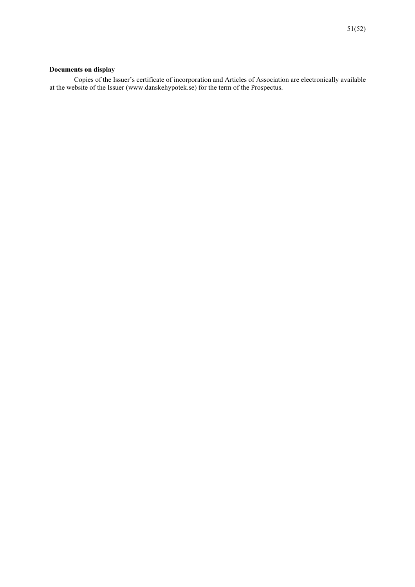## **Documents on display**

Copies of the Issuer's certificate of incorporation and Articles of Association are electronically available at the website of the Issuer (www.danskehypotek.se) for the term of the Prospectus.